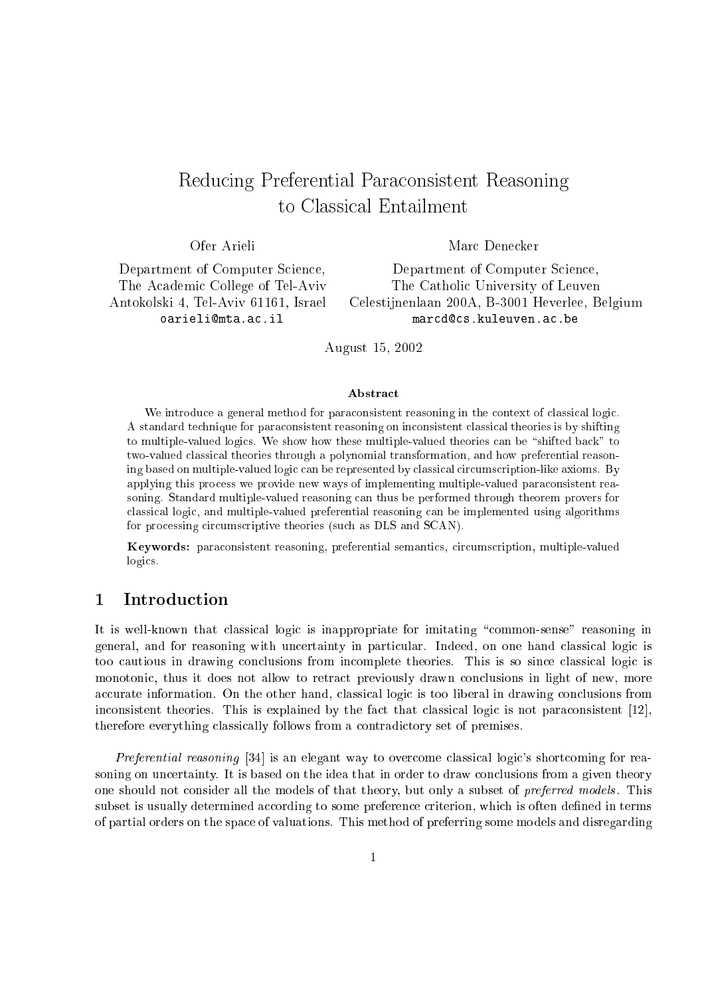# Redu
ing Preferential Para
onsistent Reasoning

Ofer Arieli Marc Denecker

Department of Computer Science, Department of Computer Science,

The Academic College of Tel-Aviv The Catholic University of Leuven Antokolski 4, Tel-Aviv 61161, Israel Celestijnenlaan 200A, B-3001 Heverlee, Belgium oarieli@mta.ac.il marcd@cs.kuleuven.ac.be

August 15, 2002

## Abstra
t

We introduce a general method for paraconsistent reasoning in the context of classical logic. A standard technique for paraconsistent reasoning on inconsistent classical theories is by shifting to multiple-valued logics. We show how these multiple-valued theories can be "shifted back" to two-valued classical theories through a polynomial transformation, and how preferential reasoning based on multiple-valued logic can be represented by classical circumscription-like axioms. By applying this pro
ess we provide new ways of implementing multiple-valued para
onsistent reasoning. Standard multiple-valued reasoning can thus be performed through theorem provers for lassi
al logi
, and multiple-valued preferential reasoning an be implemented using algorithms for processing circumscriptive theories (such as DLS and SCAN).

Keywords: para
onsistent reasoning, preferential semanti
s, ir
ums
ription, multiple-valued logics.

#### $\mathbf{1}$ **Introduction**

It is well-known that classical logic is inappropriate for imitating "common-sense" reasoning in general, and for reasoning with uncertainty in particular. Indeed, on one hand classical logic is too cautious in drawing conclusions from incomplete theories. This is so since classical logic is monotonic, thus it does not allow to retract previously drawn conclusions in light of new, more accurate information. On the other hand, classical logic is too liberal in drawing conclusions from inconsistent theories. This is explained by the fact that classical logic is not paraconsistent [12], therefore everything lassi
ally follows from a ontradi
tory set of premises.

Preferential reasoning [34] is an elegant way to overcome classical logic's shortcoming for reasoning on uncertainty. It is based on the idea that in order to draw conclusions from a given theory one should not consider all the models of that theory, but only a subset of *preferred models*. This subset is usually determined according to some preference criterion, which is often defined in terms of partial orders on the spa
e of valuations. This method of preferring some models and disregarding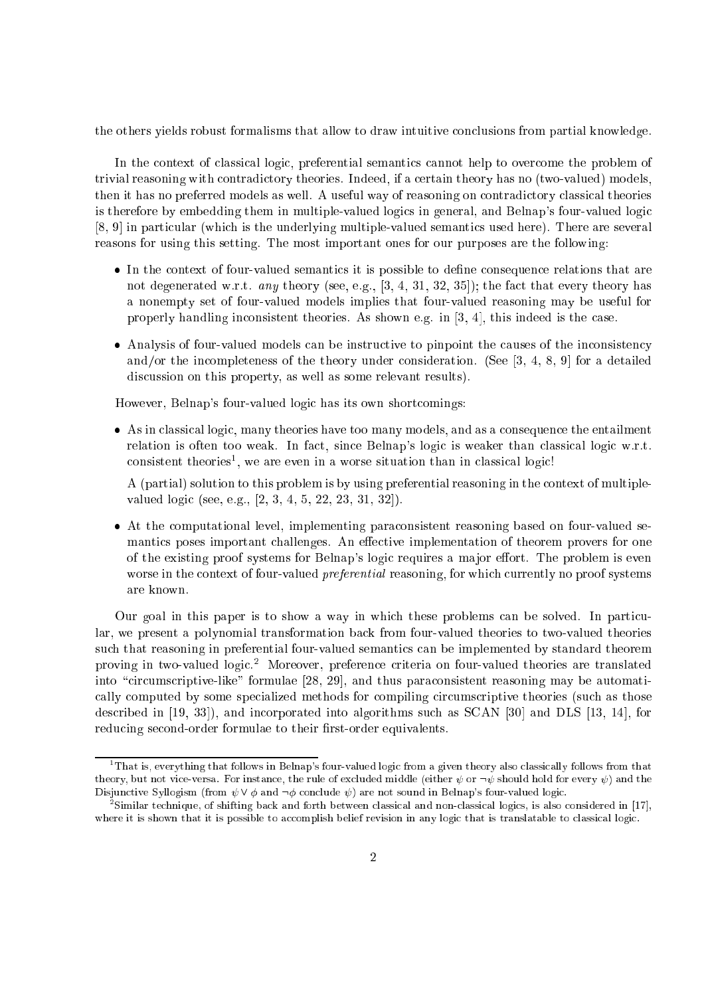the others yields robust formalisms that allow to draw intuitive conclusions from partial knowledge.

In the context of classical logic, preferential semantics cannot help to overcome the problem of trivial reasoning with ontradi
tory theories. Indeed, if a ertain theory has no (two-valued) models, then it has no preferred models as well. A useful way of reasoning on contradictory classical theories is therefore by embedding them in multiple-valued logics in general, and Belnap's four-valued logic  $[8, 9]$  in particular (which is the underlying multiple-valued semantics used here). There are several reasons for using this setting. The most important ones for our purposes are the following:

- In the context of four-valued semantics it is possible to define consequence relations that are not degenerated w.r.t. any theory (see, e.g.,  $[3, 4, 31, 32, 35]$ ); the fact that every theory has a nonempty set of four-valued models implies that four-valued reasoning may be useful for properly handling inconsistent theories. As shown e.g. in  $[3, 4]$ , this indeed is the case.
- Analysis of four-valued models can be instructive to pinpoint the causes of the inconsistency and/or the incompleteness of the theory under consideration. (See  $[3, 4, 8, 9]$  for a detailed discussion on this property, as well as some relevant results).

However, Belnap's four-valued logic has its own shortcomings:

• As in classical logic, many theories have too many models, and as a consequence the entailment relation is often too weak. In fact, since Belnap's logic is weaker than classical logic w.r.t.  $\rm{constant}$  theories , we are even in a worse situation than in classical logic:

A (partial) solution to this problem is by using preferential reasoning in the ontext of multiplevalued logic (see, e.g.,  $[2, 3, 4, 5, 22, 23, 31, 32]$ ).

• At the computational level, implementing paraconsistent reasoning based on four-valued semantics poses important challenges. An effective implementation of theorem provers for one of the existing proof systems for Belnap's logic requires a major effort. The problem is even worse in the context of four-valued *preferential* reasoning, for which currently no proof systems are known.

Our goal in this paper is to show a way in which these problems can be solved. In particular, we present a polynomial transformation ba
k from four-valued theories to two-valued theories such that reasoning in preferential four-valued semantics can be implemented by standard theorem proving in two-valued logic.<sup>2</sup> Moreover, preference criteria on four-valued theories are translated into "circumscriptive-like" formulae [28, 29], and thus paraconsistent reasoning may be automatically computed by some specialized methods for compiling circumscriptive theories (such as those described in  $[19, 33]$ , and incorporated into algorithms such as SCAN  $[30]$  and DLS  $[13, 14]$ , for reducing second-order formulae to their first-order equivalents.

<sup>1</sup> That is, everything that follows in Belnap's four-valued logi from a given theory also lassi
ally follows from that theory, but not vice-versa. For instance, the rule of excluded middle (either  $\psi$  or  $\neg \psi$  should hold for every  $\psi$ ) and the Disjunctive Syllogism (from  $\psi \vee \phi$  and  $\neg \phi$  conclude  $\psi$ ) are not sound in Belnap's four-valued logic.

<sup>-</sup>Similar technique, of shifting back and forth between classical and non-classical logics, is also considered in [17], where it is shown that it is possible to accomplish belief revision in any logic that is translatable to classical logic.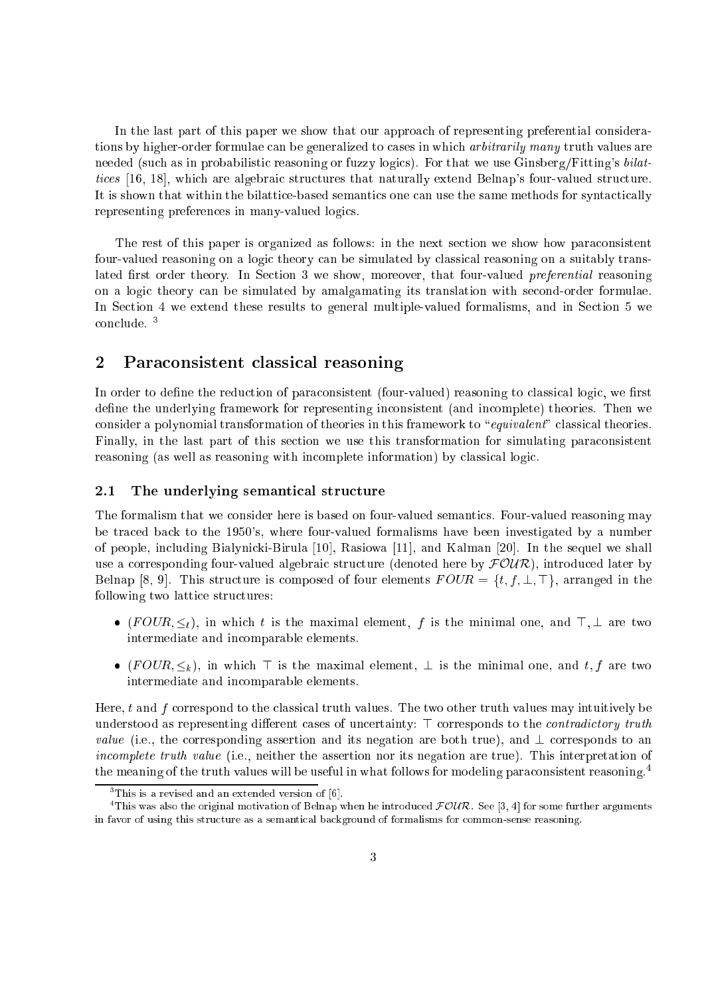In the last part of this paper we show that our approach of representing preferential considerations by higher-order formulae can be generalized to cases in which *arbitrarily many* truth values are needed (such as in probabilistic reasoning or fuzzy logics). For that we use Ginsberg/Fitting's bilattices [16, 18], which are algebraic structures that naturally extend Belnap's four-valued structure. It is shown that within the bilattice-based semantics one can use the same methods for syntactically representing preferen
es in many-valued logi
s.

The rest of this paper is organized as follows: in the next section we show how paraconsistent four-valued reasoning on a logic theory can be simulated by classical reasoning on a suitably translated first order theory. In Section 3 we show, moreover, that four-valued *preferential* reasoning on a logic theory can be simulated by amalgamating its translation with second-order formulae. In Section 4 we extend these results to general multiple-valued formalisms, and in Section 5 we on
lude. <sup>3</sup>

# 2 Para
onsistent lassi
al reasoning

In order to define the reduction of paraconsistent (four-valued) reasoning to classical logic, we first define the underlying framework for representing inconsistent (and incomplete) theories. Then we consider a polynomial transformation of theories in this framework to "equivalent" classical theories. Finally, in the last part of this section we use this transformation for simulating paraconsistent reasoning (as well as reasoning with incomplete information) by classical logic.

# 2.1 The underlying semantical structure

The formalism that we onsider here is based on four-valued semanti
s. Four-valued reasoning may be tra
ed ba
k to the 1950's, where four-valued formalisms have been investigated by a number of people, including Bialynicki-Birula [10], Rasiowa [11], and Kalman [20]. In the sequel we shall use a corresponding four-valued algebraic structure (denoted here by  $\mathcal{FOUR}$ ), introduced later by Belnap [8, 9]. This structure is composed of four elements  $FOUR = \{t, f, \perp, \perp\}$ , arranged in the following two lattice structures:

- $(FOUR, \leq_t)$ , in which t is the maximal element, f is the minimal one, and  $\top$ ,  $\bot$  are two intermediate and in
omparable elements.
- $(FOUR, \leq_k)$ , in which  $\top$  is the maximal element,  $\bot$  is the minimal one, and t, f are two intermediate and in
omparable elements.

Here,  $t$  and  $f$  correspond to the classical truth values. The two other truth values may intuitively be understood as representing different cases of uncertainty:  $\top$  corresponds to the *contradictory truth value* (i.e., the corresponding assertion and its negation are both true), and  $\perp$  corresponds to an incomplete truth value (i.e., neither the assertion nor its negation are true). This interpretation of the meaning of the truth values will be useful in what follows for modeling paraconsistent reasoning.<sup>4</sup>

 $\lceil$  1 his is a revised and an extended version of  $|{\mathfrak{b}}|$  .

This was also the original motivation of Belnap when he introduced FOUR. See [3, 4] for some further arguments in favor of using this stru
ture as a semanti
al ba
kground of formalisms for ommon-sense reasoning.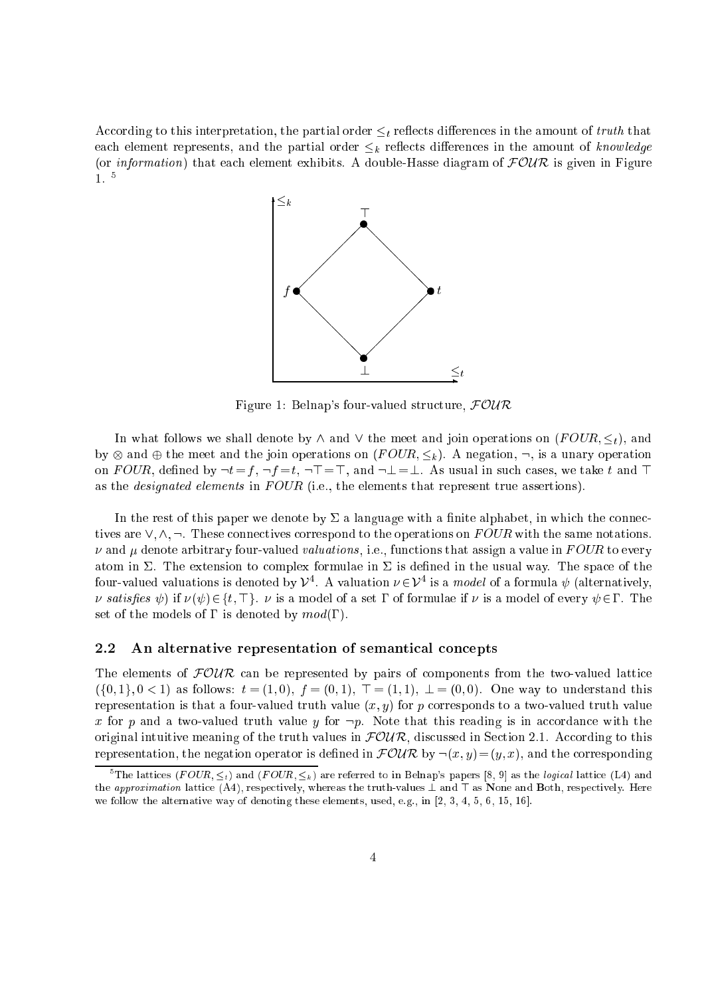According to this interpretation, the partial order  $\leq_t$  reflects differences in the amount of truth that each element represents, and the partial order  $\leq_k$  reflects differences in the amount of knowledge (or *information*) that each element exhibits. A double-Hasse diagram of  $FOWR$  is given in Figure 1. <sup>5</sup>



Figure 1: Belnap's four-valued structure,  $FOWR$ 

In what follows we shall denote by  $\wedge$  and  $\vee$  the meet and join operations on  $(FOUR, \leq_t)$ , and by and the meet and the join operations on (F OUR; k). A negation, :, is a unary operation on FOUR, defined by  $\neg t = f$ ,  $\neg f = t$ ,  $\neg T = T$ , and  $\neg \bot = \bot$ . As usual in such cases, we take t and T as the *designated elements* in FOUR (i.e., the elements that represent true assertions).

In the rest of this paper we denote by  $\Sigma$  a language with a finite alphabet, in which the connectives are  $\vee, \wedge, \neg$ . These connectives correspond to the operations on  $FOUR$  with the same notations.  $\nu$  and  $\mu$  denote arbitrary four-valued valuations, i.e., functions that assign a value in FOUR to every atom in  $\Sigma$ . The extension to complex formulae in  $\Sigma$  is defined in the usual way. The space of the four-valued valuations is denoted by  $V^*$ . A valuation  $\nu \in V^*$  is a *model* of a formula  $\psi$  (alternatively, v satisfies  $\psi$ ) if  $\nu(\psi) \in \{t, \top\}$ .  $\nu$  is a model of a set  $\Gamma$  of formulae if  $\nu$  is a model of every  $\psi \in \Gamma$ . The set of the models of  $\Gamma$  is denoted by  $mod(\Gamma)$ .

### 2.2 An alternative representation of semantical concepts

The elements of  $FOWR$  can be represented by pairs of components from the two-valued lattice  $(\{0, 1\}, 0 < 1)$  as follows:  $t = (1, 0), f = (0, 1), T = (1, 1), \perp = (0, 0)$ . One way to understand this representation is that a four-valued truth value  $(x, y)$  for p corresponds to a two-valued truth value x for p and a two-valued truth value y for  $\neg p$ . Note that this reading is in accordance with the original intuitive meaning of the truth values in  $FOWR$ , discussed in Section 2.1. According to this representation, the negation operator is defined in  $\mathcal{FOUR}$  by  $\neg(x, y) = (y, x)$ , and the corresponding

<sup>&</sup>lt;sup>5</sup>The lattices (*FOUR*,  $\leq_t$ ) and (*FOUR*,  $\leq_k$ ) are referred to in Belnap's papers [8, 9] as the *logical* lattice (L4) and the approximation lattice (A4), respectively, whereas the truth-values  $\perp$  and  $\top$  as None and Both, respectively. Here we follow the alternative way of denoting these elements, used, e.g., in  $[2, 3, 4, 5, 6, 15, 16]$ .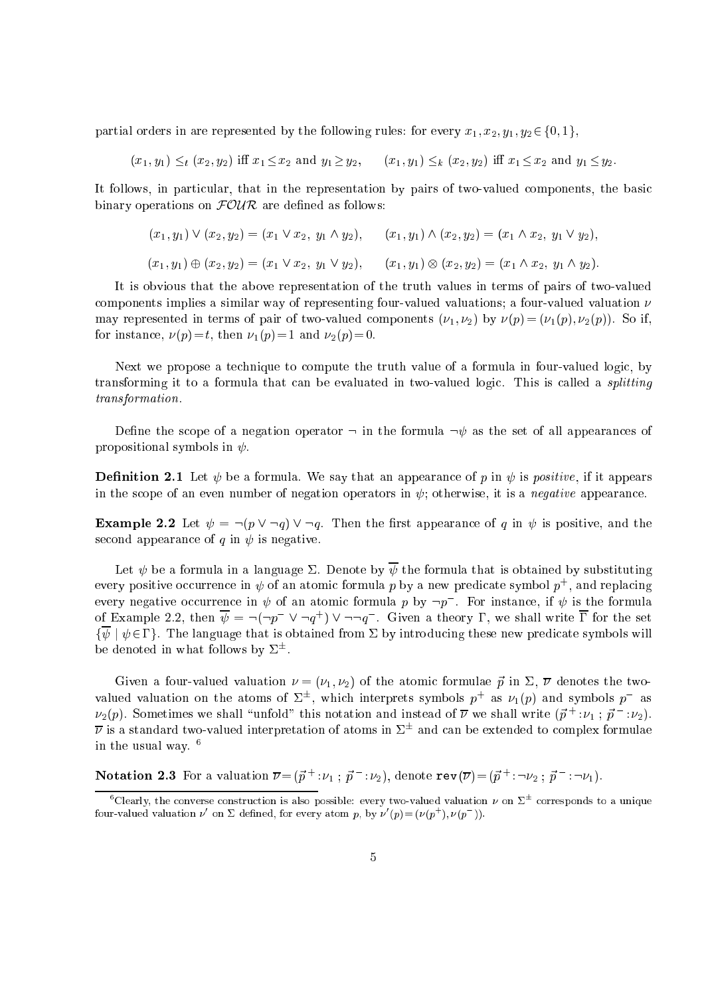partial orders in are represented by the following rules: for every  $x_1, x_2, y_1, y_2 \in \{0, 1\}$ ,

 $(x_1, y_1) \leq_t (x_2, y_2)$  iff  $x_1 \leq x_2$  and  $y_1 \geq y_2$ ,  $(x_1, y_1) \leq_k (x_2, y_2)$  iff  $x_1 \leq x_2$  and  $y_1 \leq y_2$ .

It follows, in particular, that in the representation by pairs of two-valued components, the basic binary operations on  $F\mathcal{O}\mathcal{U}\mathcal{R}$  are defined as follows:

$$
(x_1, y_1) \vee (x_2, y_2) = (x_1 \vee x_2, y_1 \wedge y_2), \qquad (x_1, y_1) \wedge (x_2, y_2) = (x_1 \wedge x_2, y_1 \vee y_2),
$$
  

$$
(x_1, y_1) \oplus (x_2, y_2) = (x_1 \vee x_2, y_1 \vee y_2), \qquad (x_1, y_1) \otimes (x_2, y_2) = (x_1 \wedge x_2, y_1 \wedge y_2).
$$

It is obvious that the above representation of the truth values in terms of pairs of two-valued components implies a similar way of representing four-valued valuations; a four-valued valuation  $\nu$ may represented in terms of pair of two-valued components  $(\nu_1, \nu_2)$  by  $\nu(p) = (\nu_1(p), \nu_2(p))$ . So if, for instance,  $\nu(p)=t$ , then  $\nu_1(p)=1$  and  $\nu_2(p)=0$ .

Next we propose a technique to compute the truth value of a formula in four-valued logic, by transforming it to a formula that can be evaluated in two-valued logic. This is called a *splitting* transformation.

Define the scope of a negation operator  $\neg$  in the formula  $\neg \psi$  as the set of all appearances of propositional symbols in  $\psi$ .

**Definition 2.1** Let  $\psi$  be a formula. We say that an appearance of p in  $\psi$  is positive, if it appears in the scope of an even number of negation operators in  $\psi$ ; otherwise, it is a *negative* appearance.

**Example 2.2** Let  $\psi = \neg(p \lor \neg q) \lor \neg q$ . Then the first appearance of q in  $\psi$  is positive, and the second appearance of q in  $\psi$  is negative.

Let  $\psi$  be a formula in a language  $\Sigma$ . Denote by  $\overline{\psi}$  the formula that is obtained by substituting every positive occurrence in  $\psi$  of an atomic formula  $p$  by a new predicate symbol  $p$  , and replacing every negative occurrence in  $\psi$  of an atomic formula  $p$  by  $\neg p$  . For instance, if  $\psi$  is the formula of Example 2.2, then  $\psi = \neg(\neg p \quad \lor \neg q \quad) \lor \neg \neg q$  . Given a theory **1**, we shall write 1 for the set  $\{\overline{\psi} \mid \psi \in \Gamma\}$ . The language that is obtained from  $\Sigma$  by introducing these new predicate symbols will be deficied in what follows by  $\Delta^-$ .

Given a four-valued valuation  $\{1, 1\}$  of  $\{2, 1\}$  of the atomic formulation  $p$  and  $p$  , atomic the twovalued valuation on the atoms of  $\varphi^-$ , which interprets symbols  $p_+$  as  $\nu_1(p)$  and symbols  $p_-$  as  $\nu_2(p)$ . Sometimes we shall uniold this notation and instead of  $\nu$  we shall write  $(p^- : \nu_1^-; \ p^- : \nu_2)$ .  $\nu$  is a standard two-valued interpretation of atoms in  $\varDelta^-$  and can be extended to complex formulae in the usual way. <sup>6</sup>

**Notation 2.3** For a valuation  $\overline{\nu} = (\vec{p}^{\,+} : \nu_1 \, ; \, \vec{p}^{\,-} : \nu_2)$ , denote  $\texttt{rev}(\overline{\nu}) = (\vec{p}^{\,+} : \neg \nu_2 \, ; \, \vec{p}^{\,-} : \neg \nu_1)$ .

Ulearly, the converse construction is also possible: every two-valued valuation  $\nu$  on  $\Sigma^-$  corresponds to a unique four-valued valuation  $\nu$  on  $\Sigma$  defined, for every atom  $p$ , by  $\nu(p) = (\nu(p_+), \nu(p_-))$ .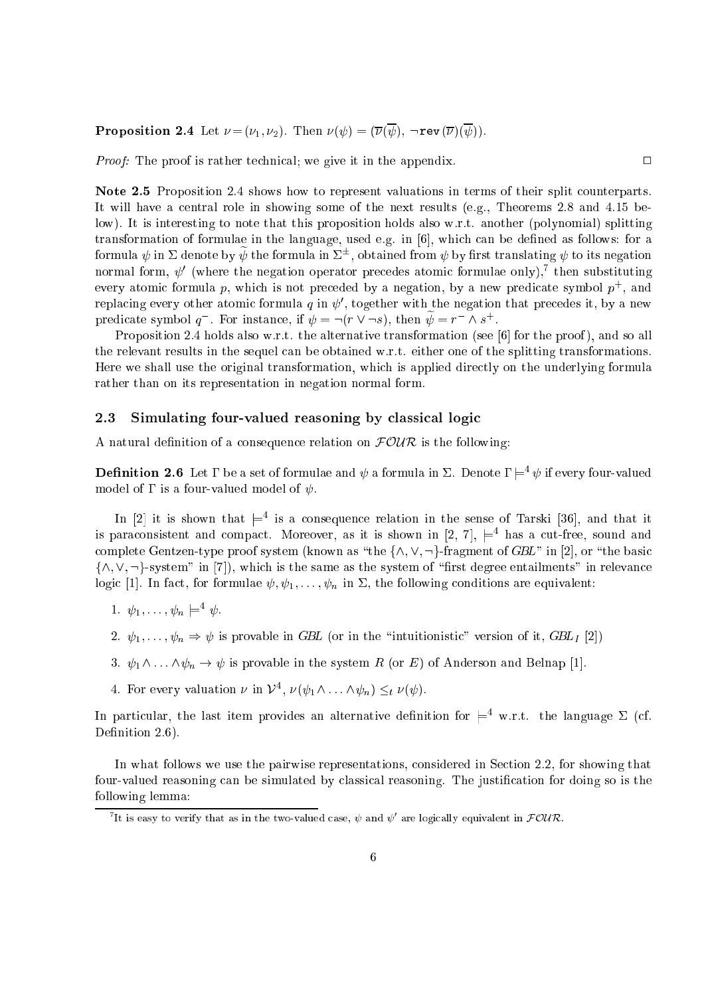**Proposition 2.4** Let  $\nu = (\nu_1, \nu_2)$ . Then  $\nu(\psi) = (\overline{\nu}(\overline{\psi}), \neg \text{rev}(\overline{\nu})(\overline{\psi})).$ 

Proof: The proof is rather technical; we give it in the appendix.

Note 2.5 Proposition 2.4 shows how to represent valuations in terms of their split counterparts. It will have a central role in showing some of the next results (e.g., Theorems 2.8 and 4.15 below). It is interesting to note that this proposition holds also w.r.t. another (polynomial) splitting transformation of formulae in the language, used e.g. in  $[6]$ , which can be defined as follows: for a formula  $\psi$  in  $\varSigma$  denote by  $\psi$  the formula in  $\varSigma^{-}$ , obtained from  $\psi$  by first translating  $\psi$  to its negation normal form,  $\psi$  (where the negation operator precedes atomic formulae only), then substituting every atomic formula  $p$ , which is not preceded by a negation, by a new predicate symbol  $p_+$ , and replacing every other atomic formula  $q$  in  $\psi$  , together with the negation that precedes it, by a new predicate symbol q. For instance, if  $\psi = \neg(r \lor \neg s)$ , then  $\psi = r \land s$ .

Proposition 2.4 holds also w.r.t. the alternative transformation (see  $[6]$  for the proof), and so all the relevant results in the sequel an be obtained w.r.t. either one of the splitting transformations. Here we shall use the original transformation, which is applied directly on the underlying formula rather than on its representation in negation normal form.

# 2.3 Simulating four-valued reasoning by classical logic

A natural definition of a consequence relation on  $\text{FOUR}$  is the following:

**Definition 2.6** Let  $\Gamma$  be a set of formulae and  $\psi$  a formula in  $\Sigma$ . Denote  $\Gamma | =^4 \psi$  if every four-valued model of  $\Gamma$  is a four-valued model of  $\psi$ .

In  $|z|$  it is snown that  $\models^+$  is a consequence relation in the sense of Tarski  $|30|$ , and that it is paraconsistent and compact. Moreover, as it is snown in  $\vert z,\ \ell \vert, \ \equiv^*$  has a cut-free, sound and complete Gentzen-type proof system (known as "the  $\{\wedge, \vee, \neg\}$ -fragment of GBL" in [2], or "the basic  $\{\wedge, \vee, \neg\}$ -system" in [7]), which is the same as the system of "first degree entailments" in relevance logic [1]. In fact, for formulae  $\psi, \psi_1, \ldots, \psi_n$  in  $\Sigma$ , the following conditions are equivalent:

- 1.  $\psi_1, \ldots, \psi_n \models \psi$ .
- 2.  $\psi_1, \ldots, \psi_n \Rightarrow \psi$  is provable in GBL (or in the "intuitionistic" version of it, GBL<sub>I</sub> [2])
- 3.  $\psi_1 \wedge \ldots \wedge \psi_n \to \psi$  is provable in the system R (or E) of Anderson and Belnap [1].
- 4. For every valuation  $\nu$  in  $\nu^*, \nu(\psi_1 \wedge \ldots \wedge \psi_n) \leq_t \nu(\psi)$ .

In particular, the last item provides an alternative definition for  $\models^4$  w.r.t. the language  $\Sigma$  (cf. Definition 2.6).

In what follows we use the pairwise representations, considered in Section 2.2, for showing that four-valued reasoning can be simulated by classical reasoning. The justification for doing so is the following lemma:

 $\Box$ 

It is easy to verify that as in the two-valued case,  $\psi$  and  $\psi$  are logically equivalent in  $\mathcal{F}\mathcal{O}\mathcal{U}\mathcal{R}.$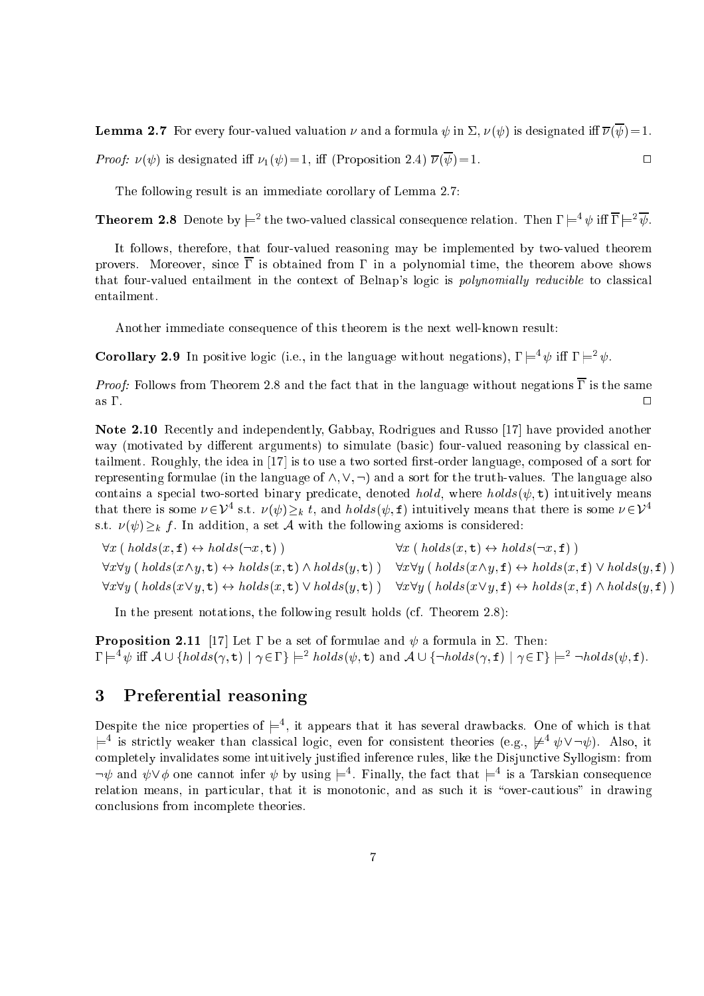**Lemma 2.7** For every four-valued valuation  $\nu$  and a formula  $\psi$  in  $\Sigma$ ,  $\nu(\psi)$  is designated iff  $\overline{\nu}(\overline{\psi})=1$ .

*Proof:*  $\nu(\psi)$  is designated iff  $\nu_1(\psi) = 1$ , iff (Proposition 2.4)  $\overline{\nu}(\overline{\psi}) = 1$ .  $\Box$ 

The following result is an immediate orollary of Lemma 2.7:

**Theorem 2.8** Denote by  $\models^2$  the two-valued classical consequence relation. Then  $\Gamma \models^4 \psi$  iff  $\Gamma \models^2 \psi$ .

It follows, therefore, that four-valued reasoning may be implemented by two-valued theorem provers. Moreover, since  $\overline{\Gamma}$  is obtained from  $\Gamma$  in a polynomial time, the theorem above shows that four-valued entailment in the context of Belnap's logic is *polynomially reducible* to classical entailment.

Another immediate onsequen
e of this theorem is the next well-known result:

**Corollary 2.9** In positive logic (i.e., in the language without negations),  $\Gamma \models^4 \psi$  iff  $\Gamma \models^2 \psi$ .

*Proof:* Follows from Theorem 2.8 and the fact that in the language without negations  $\overline{\Gamma}$  is the same  $\Box$ 

Note 2.10 Recently and independently, Gabbay, Rodrigues and Russo [17] have provided another way (motivated by different arguments) to simulate (basic) four-valued reasoning by classical entailment. Roughly, the idea in [17] is to use a two sorted first-order language, composed of a sort for representing formulae (in the language of  $\wedge$ ,  $\vee$ ,  $\neg$ ) and a sort for the truth-values. The language also contains a special two-sorted binary predicate, denoted *hold*, where  $holds(\psi, t)$  intuitively means that there is some  $\nu \in V^+$  s.t.  $\nu(\psi) \geq k$  t, and  $nons(\psi, \tau)$  intuitively means that there is some  $\nu \in V^+$ s.t.  $\nu(\psi) \geq_k f$ . In addition, a set A with the following axioms is considered:

 $\forall x \, (\text{ holds}(x, \mathbf{f}) \leftrightarrow \text{holds}(\neg x, \mathbf{t}))$   $\forall x \, (\text{ holds}(x, \mathbf{t}) \leftrightarrow \text{holds}(\neg x, \mathbf{f}))$  $\forall x \forall y \; ( \; holds(x \land y, \mathbf{t}) \leftrightarrow holds(x, \mathbf{t}) \land holds(y, \mathbf{t}) ) \quad \forall x \forall y \; ( \; holds(x \land y, \mathbf{f}) \leftrightarrow holds(x, \mathbf{f}) \lor holds(y, \mathbf{f}) )$  $\forall x \forall y \; ( \; holds(x \vee y, \mathbf{t}) \leftrightarrow holds(x, \mathbf{t}) \vee holds(y, \mathbf{t}) ) \quad \forall x \forall y \; ( \; holds(x \vee y, \mathbf{f}) \leftrightarrow holds(x, \mathbf{f}) \wedge holds(y, \mathbf{f}) )$ 

In the present notations, the following result holds (cf. Theorem 2.8):

**Proposition 2.11** [17] Let  $\Gamma$  be a set of formulae and  $\psi$  a formula in  $\Sigma$ . Then:  $I \models \forall v$  in  $A \cup \{noias(\gamma, t) \mid \gamma \in I \in \exists noias(\psi, t) \text{ and } A \cup \{\neg noias(\gamma, t) \mid \gamma \in I \in \exists noias(\psi, t).$ 

# 3 Preferential reasoning

Despite the nice properties of  $\models$ , it appears that it has several drawbacks. One of which is that  $\equiv$  is strictly weaker than classical logic, even for consistent theories (e.g.,  $\not\equiv$   $\psi \vee \neg \psi$ ). Also, it ompletely invalidates some intuitively justied inferen
e rules, like the Disjun
tive Syllogism: from  $\neg \psi$  and  $\psi \vee \phi$  one cannot infer  $\psi$  by using  $\models$  . Finally, the fact that  $\models$  is a Tarskian consequence relation means, in particular, that it is monotonic, and as such it is "over-cautious" in drawing on
lusions from in
omplete theories.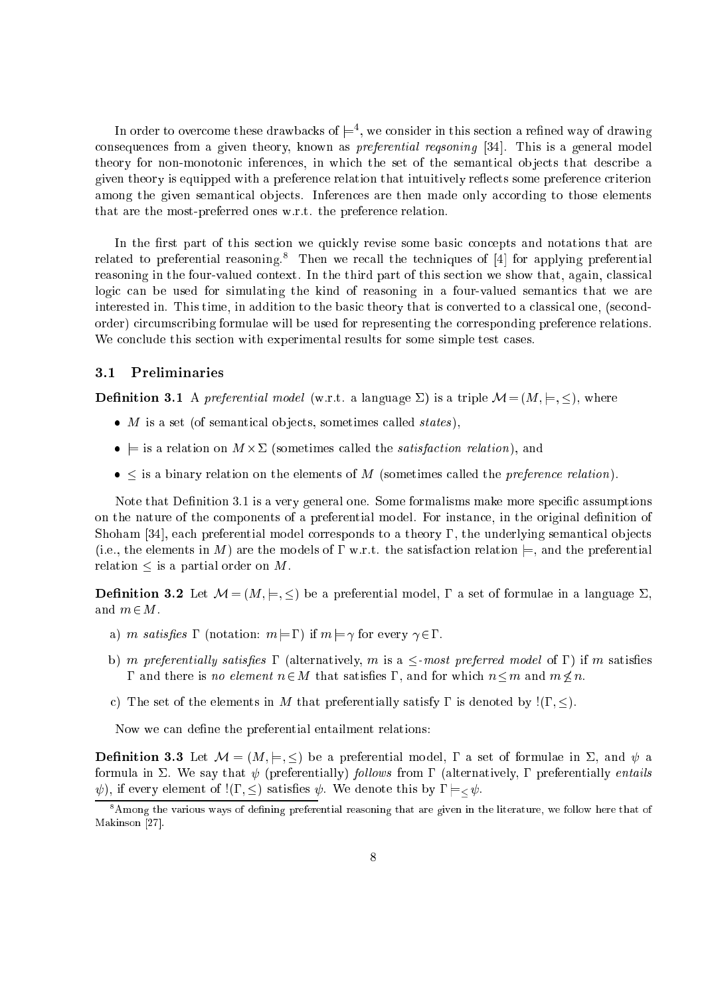In order to overcome these drawbacks of  $\models$  , we consider in this section a refined way of drawing consequences from a given theory, known as *preferential reqsoning* [34]. This is a general model theory for non-monotonic inferences, in which the set of the semantical objects that describe a given theory is equipped with a preference relation that intuitively reflects some preference criterion among the given semantical objects. Inferences are then made only according to those elements that are the most-preferred ones w.r.t. the preference relation.

In the first part of this section we quickly revise some basic concepts and notations that are related to preferential reasoning.<sup>8</sup> Then we recall the techniques of  $[4]$  for applying preferential reasoning in the four-valued context. In the third part of this section we show that, again, classical logic can be used for simulating the kind of reasoning in a four-valued semantics that we are interested in. This time, in addition to the basic theory that is converted to a classical one, (secondorder) circumscribing formulae will be used for representing the corresponding preference relations. We conclude this section with experimental results for some simple test cases.

## 3.1 Preliminaries

**Definition 3.1** A preferential model (w.r.t. a language  $\Sigma$ ) is a triple  $\mathcal{M} = (M, \models, \leq)$ , where

- $\bullet$  *M* is a set (of semantical objects, sometimes called *states*).
- tion on M (sometimes is a relation), and alleged the satisfactory, and and alleged the satisfactory, and a
- $\bullet$   $\leq$  is a binary relation on the elements of M (sometimes called the *preference relation*).

Note that Definition  $3.1$  is a very general one. Some formalisms make more specific assumptions on the nature of the components of a preferential model. For instance, in the original definition of Shoham [34], each preferential model corresponds to a theory  $\Gamma$ , the underlying semantical objects (i.e., the elements in M) are the models of  $\Gamma$  w.r.t. the satisfaction relation  $\models$ , and the preferential relation  $\leq$  is a partial order on M.

**Definition 3.2** Let  $M = (M, \models, \leq)$  be a preferential model,  $\Gamma$  a set of formulae in a language  $\Sigma$ , and  $m \in M$ .

- a) m satisfies  $\Gamma$  (notation:  $m = \Gamma$ ) if  $m = \gamma$  for every  $\gamma \in \Gamma$ .
- b) m preferentially satisfies  $\Gamma$  (alternatively, m is a  $\leq$ -most preferred model of  $\Gamma$ ) if m satisfies  $\Gamma$  and there is no element  $n \in M$  that satisfies  $\Gamma$ , and for which  $n \leq m$  and  $m \nleq n$ .
- c) The set of the elements in M that preferentially satisfy  $\Gamma$  is denoted by ! $(\Gamma, \leq)$ .

Now we can define the preferential entailment relations:

**Definition 3.3** Let  $\mathcal{M} = (M, \models, \leq)$  be a preferential model,  $\Gamma$  a set of formulae in  $\Sigma$ , and  $\psi$  a formula in  $\Sigma$ . We say that  $\psi$  (preferentially) follows from  $\Gamma$  (alternatively,  $\Gamma$  preferentially entails  $\psi$ ), if every element of ! $(\Gamma, \leq)$  satisfies  $\psi$ . We denote this by  $\Gamma \models < \psi$ .

<sup>-</sup>Among the various ways of defining preferential reasoning that are given in the literature, we follow here that of Makinson [27].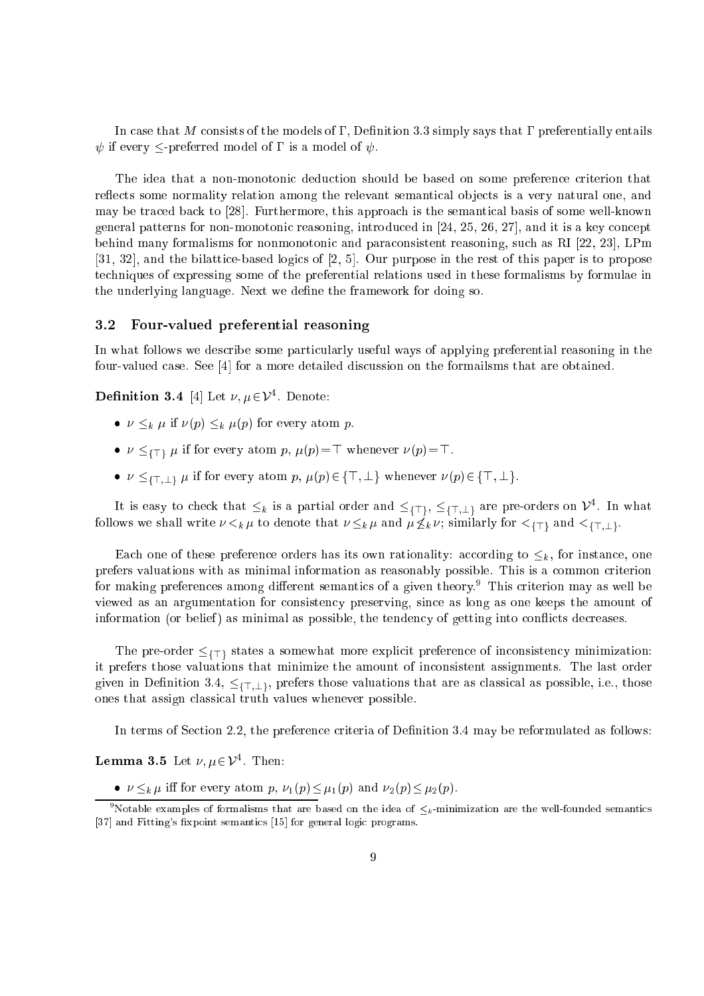In case that M consists of the models of  $\Gamma$ , Definition 3.3 simply says that  $\Gamma$  preferentially entails  $\psi$  if every  $\leq$ -preferred model of  $\Gamma$  is a model of  $\psi$ .

The idea that a non-monotonic deduction should be based on some preference criterion that reflects some normality relation among the relevant semantical objects is a very natural one, and may be traced back to [28]. Furthermore, this approach is the semantical basis of some well-known general patterns for non-monotonic reasoning, introduced in  $[24, 25, 26, 27]$ , and it is a key concept behind many formalisms for nonmonotonic and paraconsistent reasoning, such as RI  $[22, 23]$ , LPm  $[31, 32]$ , and the bilattice-based logics of  $[2, 5]$ . Our purpose in the rest of this paper is to propose te
hniques of expressing some of the preferential relations used in these formalisms by formulae in the underlying language. Next we define the framework for doing so.

# 3.2 Four-valued preferential reasoning

In what follows we describe some particularly useful ways of applying preferential reasoning in the four-valued case. See  $[4]$  for a more detailed discussion on the formailsms that are obtained.

**Definition 3.4** [4] Let  $\nu, \mu \in \mathcal{V}^4$ . Denote:

- $\nu \leq_k \mu$  if  $\nu(p) \leq_k \mu(p)$  for every atom p.
- for every atom p,  $p$  for  $p$  if  $f$  ,  $f$  ,  $f$  ,  $f$  ,  $f$  ,  $f$  ,  $f$  ,  $f$  ,  $f$  ,  $f$  ,  $f$  ,  $f$  ,  $f$  ,  $f$  ,  $f$  ,  $f$  ,  $f$  ,  $f$  ,  $f$  ,  $f$  ,  $f$  ,  $f$  ,  $f$  ,  $f$  ,  $f$  ,  $f$  ,  $f$  ,  $f$  ,  $f$  ,  $f$  ,  $f$  ,  $f$
- $\nu \leq_{\{\top,\bot\}} \mu$  if for every atom p,  $\mu(p) \in {\{\top, \bot\}}$  whenever  $\nu(p) \in {\{\top, \bot\}}$ .

It is easy to check that  $\leq_k$  is a partial order and  $\leq_{\{T\}}$ ,  $\leq_{\{T, \perp\}}$  are pre-orders on  $\nu$ . In what follows we shall write that is similarly for the similar  $\mathcal{L}^{\mathcal{D}}$  is an analyzing  $\mathcal{L}^{\mathcal{D}}$  and  $\mathcal{L}^{\mathcal{D}}$  and  $\mathcal{L}^{\mathcal{D}}$  and  $\mathcal{L}^{\mathcal{D}}$  and  $\mathcal{L}^{\mathcal{D}}$  and  $\mathcal{L}^{\mathcal{D}}$  and  $\mathcal{L}^{\mathcal{$ 

Each one of these preference orders has its own rationality: according to  $\leq_k$ , for instance, one prefers valuations with as minimal information as reasonably possible. This is a common criterion for making preferen
es among dierent semanti
s of a given theory. <sup>9</sup> This riterion may as well be viewed as an argumentation for onsisten
y preserving, sin
e as long as one keeps the amount of information (or belief) as minimal as possible, the tendency of getting into conflicts decreases.

it pre-order for interesting a somewhat more explicit more explicit for interesting  $\mathbf{y}$  , where  $\mathbf{y}$ it prefers those valuations that minimize the amount of in
onsistent assignments. The last order given in Definition 3.4,  $\leq \{T, \perp\}$ , prefers those valuations that are as classical as possible, i.e., those ones that assign lassi
al truth values whenever possible.

In terms of Section 2.2, the preference criteria of Definition 3.4 may be reformulated as follows:

**Lemma 3.5** Let  $\nu, \mu \in \mathcal{V}^4$ . Then:

•  $\nu \leq_k \mu$  iff for every atom p,  $\nu_1(p) \leq \mu_1(p)$  and  $\nu_2(p) \leq \mu_2(p)$ .

Notable examples of formalisms that are based on the idea of  $\leq_k$ -minimization are the well-founded semantics [37] and Fitting's fixpoint semantics [15] for general logic programs.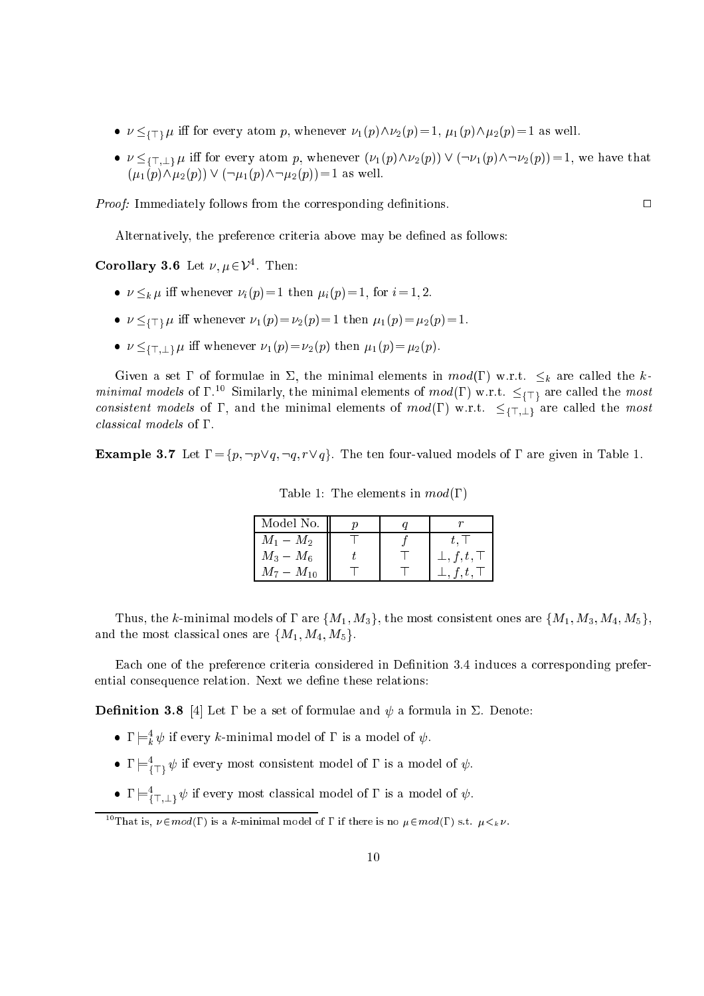- for example, the property atom p, whenever in the  $\Gamma$  (p) when  $\Gamma$  is  $\Gamma$  as  $\Gamma$  as  $\Gamma$  as well. In the swell
- $\nu \leq_{\{\top,\bot\}} \mu$  iff for every atom p, whenever  $(\nu_1(p) \wedge \nu_2(p)) \vee (\neg \nu_1(p) \wedge \neg \nu_2(p)) = 1$ , we have that  $(\mu_1(p)\wedge\mu_2(p)) \vee (\neg \mu_1(p)\wedge \neg \mu_2(p))= 1$  as well.

*Proof:* Immediately follows from the corresponding definitions.

Alternatively, the preference criteria above may be defined as follows:

Corollary 3.6 Let  $\nu, \mu \in \mathcal{V}^4$ . Then:

- $\nu \leq_k \mu$  iff whenever  $\nu_i(p)=1$  then  $\mu_i(p)=1$ , for  $i=1, 2$ .
- $f(x,y)=\frac{1}{2}\left(1+\frac{1}{2}\right)\left(1+\frac{1}{2}\right)$  in the 1 then 1 then 1 then 1 then 1 then 1
- $\nu \leq {\{\top, \bot\}} \mu$  iff whenever  $\nu_1(p) = \nu_2(p)$  then  $\mu_1(p) = \mu_2(p)$ .

Given a set  $\Gamma$  of formulae in  $\Sigma$ , the minimal elements in  $mod(\Gamma)$  w.r.t.  $\leq_k$  are called the k*minimal models* of 1.<sup>21</sup> Similarly, the minimal elements of *mod*(1) w.r.t.  $\leq$ <sub>(T)</sub> are called the *most* consistent models of  $\Gamma$ , and the minimal elements of  $mod(\Gamma)$  w.r.t.  $\leq_{\{\top,\bot\}}$  are called the most classical models of  $\Gamma$ .

**Example 3.7** Let  $\Gamma = \{p, \neg p \lor q, \neg q, r \lor q\}$ . The ten four-valued models of  $\Gamma$  are given in Table 1.

| Model No.      |  |                    |
|----------------|--|--------------------|
| $M_1-M_2$      |  |                    |
| $M_3 - M_6$    |  | $\bot, f, t, \top$ |
| $M_7 - M_{10}$ |  |                    |

Table 1: The elements in  $mod(\Gamma)$ 

Thus, the k-minimal models of  $\Gamma$  are  $\{M_1, M_3\}$ , the most consistent ones are  $\{M_1, M_3, M_4, M_5\}$ , and the most classical ones are  $\{M_1, M_4, M_5\}.$ 

Each one of the preference criteria considered in Definition 3.4 induces a corresponding preferential consequence relation. Next we define these relations:

**Definition 3.8** [4] Let  $\Gamma$  be a set of formulae and  $\psi$  a formula in  $\Sigma$ . Denote:

- $\bullet$  1  $\models_k^r \psi$  if every  $\kappa$ -minimal model of 1 is a model of  $\psi.$
- $\mathbf{1} \models_{\{ \top \}} \psi$  if every most consistent model of  $\mathbf{1}$  is a model of  $\psi$ .
- $\mathbf{1} \models \overline{\mathfrak{l}}_{\top,\bot} \mathfrak{p}$  if every most classical model of  $\mathfrak{l}$  is a model of  $\psi$ .

<sup>&</sup>lt;sup>10</sup>That is,  $\nu \in mod(\Gamma)$  is a k-minimal model of  $\Gamma$  if there is no  $\mu \in mod(\Gamma)$  s.t.  $\mu <_{k} \nu$ .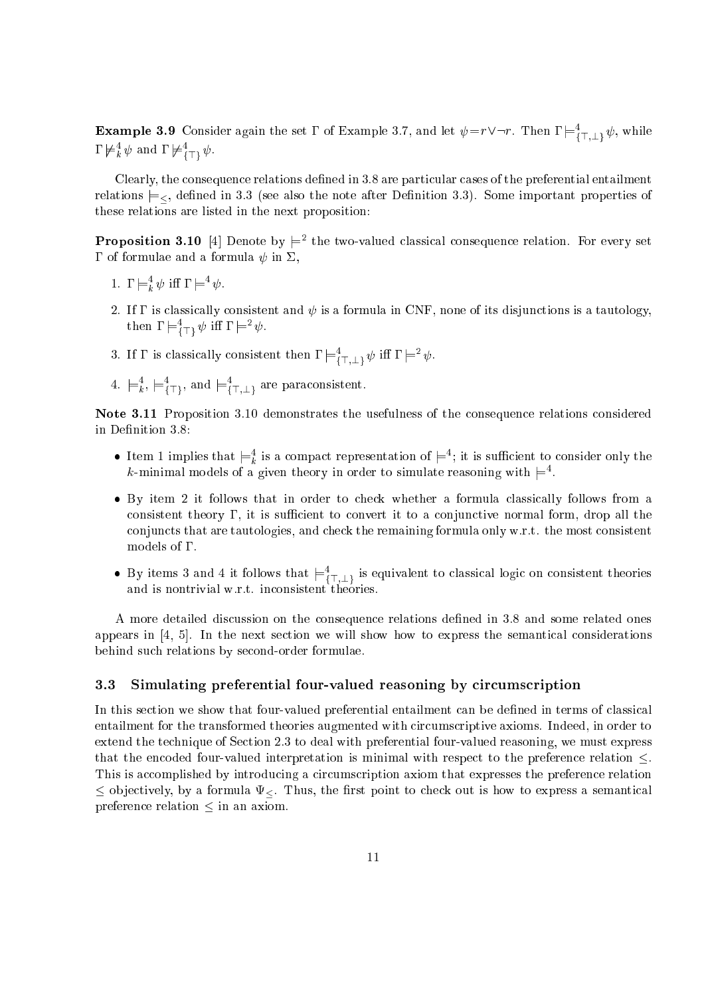**Example 3.9** Consider again the set  $\Gamma$  of Example 3.7, and let  $\psi = r \vee \neg r$ . Then  $\Gamma \models^4_{\{\top, +\}} \psi$ , while  $1 \nvDash_k \psi$  and  $1 \nvDash_{\{T\}} \psi$ .

Clearly, the consequence relations defined in 3.8 are particular cases of the preferential entailment relations  $\models$ , defined in 3.3 (see also the note after Definition 3.3). Some important properties of these relations are listed in the next proposition:

**Proposition 3.10** [4] Denote by  $\models^2$  the two-valued classical consequence relation. For every set  $\Gamma$  of formulae and a formula  $\psi$  in  $\Sigma$ ,

- 1.  $\mathbf{1} \models_k \psi$  in  $\mathbf{1} \models \psi$ .
- 2. If  $\Gamma$  is classically consistent and  $\psi$  is a formula in CNF, none of its disjunctions is a tautology,  $\lim_{\epsilon \to 0} \lim_{\epsilon \to 0} \mathcal{L} \mathcal{L} = \mathcal{L}$
- 3. If I is classically consistent then  $\mathbf{1} \models_{\{\top, \bot\}} \psi$  in  $\mathbf{1} \models \psi$ .
- <sup>4.</sup>  $\models_k$ ,  $\models_{\{\top\}}$ , and  $\models_{\{\top,\bot\}}$  are paraconsistent.

Note 3.11 Proposition 3.10 demonstrates the usefulness of the consequence relations considered in Definition 3.8:

- The Internal representation of  $\models$ ; it is sufficient to consider only the  $\kappa$ -minimal models of a given theory in order to simulate reasoning with  $\rightleftharpoons$  .
- By item 2 it follows that in order to check whether a formula classically follows from a consistent theory  $\Gamma$ , it is sufficient to convert it to a conjunctive normal form, drop all the conjuncts that are tautologies, and check the remaining formula only w.r.t. the most consistent models of  $\Gamma$ .
- $\bullet$  by nems 5 and 4 it follows that  $\models_{\bar{i}\top,\bot}$  is equivalent to classical logic on consistent theories

A more detailed discussion on the consequence relations defined in 3.8 and some related ones appears in  $[4, 5]$ . In the next section we will show how to express the semantical considerations behind su
h relations by se
ond-order formulae.

## 3.3 Simulating preferential four-valued reasoning by circumscription

In this section we show that four-valued preferential entailment can be defined in terms of classical entailment for the transformed theories augmented with circumscriptive axioms. Indeed, in order to extend the te
hnique of Se
tion 2.3 to deal with preferential four-valued reasoning, we must express that the encoded four-valued interpretation is minimal with respect to the preference relation  $\leq$ . This is accomplished by introducing a circumscription axiom that expresses the preference relation  $\leq$  objectively, by a formula  $\Psi_{\leq}$ . Thus, the first point to check out is how to express a semantical preference relation  $\leq$  in an axiom.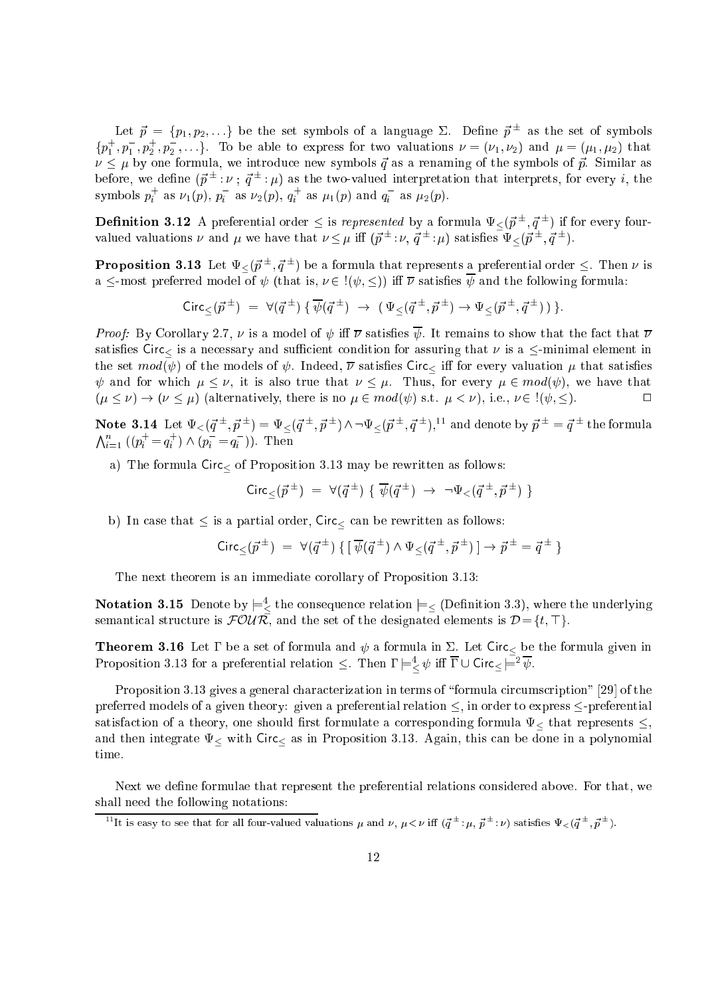Let  $p = \{p_1, p_2, \ldots\}$  be the set symbols of a language 2. Define  $p-$  as the set of symbols  $\{p_1\,,p_1\,,p_2\,,p_2\,,\ldots\}$ . To be able to express for two valuations  $\nu=(\nu_1,\nu_2)$  and  $\mu=(\mu_1,\mu_2)$  that  $\nu \leq \mu$  by one formula, we introduce new symbols  $\vec{q}$  as a renaming of the symbols of  $\vec{p}$ . Similar as before, we define  $(p =: \nu : q =: \mu)$  as the two-valued interpretation that interprets, for every  $i$ , the symbols  $p_i$  as  $\nu_1(p)$ ,  $p_i$  as  $\nu_2(p)$ ,  $q_i$  as  $\mu_1(p)$  and  $q_i$  as  $\mu_2(p)$ .

**Definition 3.12** A preferential order  $\leq$  is represented by a formula  $\Psi_{\leq}(\vec{p}^{\,\pm},\vec{q}^{\,\pm})$  if for every fourvalued valuations  $\nu$  and  $\mu$  we have that  $\nu \leq \mu$  in  $(p = : \nu, q = : \mu)$  satisfies  $\Psi \lt (p = q =)$ .

**Proposition 3.13** Let  $\Psi < (\vec{p}^\pm, \vec{q}^\pm)$  be a formula that represents a preferential order  $\leq$ . Then  $\nu$  is a  $\le$ -most preferred model of  $\psi$  (that is,  $\nu \in I(\psi, \leq)$ ) iff  $\overline{\nu}$  satisfies  $\overline{\psi}$  and the following formula:

$$
Circ_{\leq}(\vec{p}^{\pm}) = \forall (\vec{q}^{\pm}) \{ \overline{\psi}(\vec{q}^{\pm}) \rightarrow (\Psi_{\leq}(\vec{q}^{\pm}, \vec{p}^{\pm}) \rightarrow \Psi_{\leq}(\vec{p}^{\pm}, \vec{q}^{\pm})) \}.
$$

*Proof:* By Corollary 2.7,  $\nu$  is a model of  $\psi$  iff  $\overline{\nu}$  satisfies  $\overline{\psi}$ . It remains to show that the fact that  $\overline{\nu}$ satisfies circle is a new circumstance on  $\alpha$  -minimal element in  $\alpha$  -minimal element in  $\alpha$  -minimal element in the set models of  $\{f\}$  are models of . In the satisfied of the satisfied  $\{f\}$  , we satisfied  $f$  that satisfied  $\{f\}$  $\psi$  and for which  $\mu \leq \nu$ , it is also true that  $\nu \leq \mu$ . Thus, for every  $\mu \in mod(\psi)$ , we have that  $(\mu \leq \nu) \to (\nu \leq \mu)$  (alternatively, there is no  $\mu \in mod(\psi)$  s.t.  $\mu < \nu$ ), i.e.,  $\nu \in \psi, \leq$ ).  $\Box$ 

Note 3.14 Let  $\Psi_<( \vec q^{\,\pm}, \vec p^{\,\pm}) = \Psi_<( \vec q^{\,\pm}, \vec p^{\,\pm}) \wedge \neg \Psi_<( \vec p^{\,\pm}, \vec q^{\,\pm}),^{11}$  and denote by  $\vec p^{\,\pm} = \vec q^{\,\pm}$  the formula  $\bigwedge_{i=1}^n ((p_i^+ = q_i^+) \wedge (p_i^- = q_i^-)).$  Then

a) The formula Cir of Proposition 3.13 may be rewritten as follows:

$$
Circ_{\leq}(\vec{p}^{\pm}) = \forall (\vec{q}^{\pm}) \{ \overline{\psi}(\vec{q}^{\pm}) \rightarrow \neg \Psi_{<}(\vec{q}^{\pm}, \vec{p}^{\pm}) \}
$$

b) In the that is a partial order,  $\alpha$  and  $\alpha$  as follows:  $\alpha$  as follows:  $\alpha$ 

$$
Circ_{\leq}(\vec{p}^{\pm}) = \forall (\vec{q}^{\pm}) \{ [\overline{\psi}(\vec{q}^{\pm}) \land \Psi_{\leq}(\vec{q}^{\pm}, \vec{p}^{\pm})] \rightarrow \vec{p}^{\pm} = \vec{q}^{\pm} \}
$$

The next theorem is an immediate orollary of Proposition 3.13:

 ${\bf Notation\ 3.15}\ \text{Denote by}\models^4_{<}\text{the consequence relation}\models<\text{(Definition 3.3)},$  where the underlying semantical structure is  $\mathcal{FOUR}$ , and the set of the designated elements is  $\mathcal{D} = \{t, \top\}.$ 

**Theorem 3.16** Let  $\Gamma$  be a set of formula and  $\psi$  a formula in  $\Sigma$ . Let Circ<sub><</sub> be the formula given in Proposition 3.13 for a preferential relation  $\leq$ . Then  $i \models z \psi$  in  $i \cup \text{Circ} \models \psi$ .

Proposition 3.13 gives a general characterization in terms of "formula circumscription" [29] of the preferred models of a given theory: given a preferential relation  $\le$ , in order to express  $\le$ -preferential satisfaction of a theory, one should formulate a theory, one should be a that represents  $\Gamma$  and  $\Gamma$ and the second integrate  $\sim$  and the done in a proposition  $\sim$  the domestic compact that the second integrate time.

Next we define formulae that represent the preferential relations considered above. For that, we shall need the following notations:

The is easy to see that for all four-valued valuations  $\mu$  and  $\nu, \, \mu < \nu$  iff  $(q = \mu, \, p = \nu)$  satisfies  $\Psi_{\leq}(q = \mu, \, p = \nu)$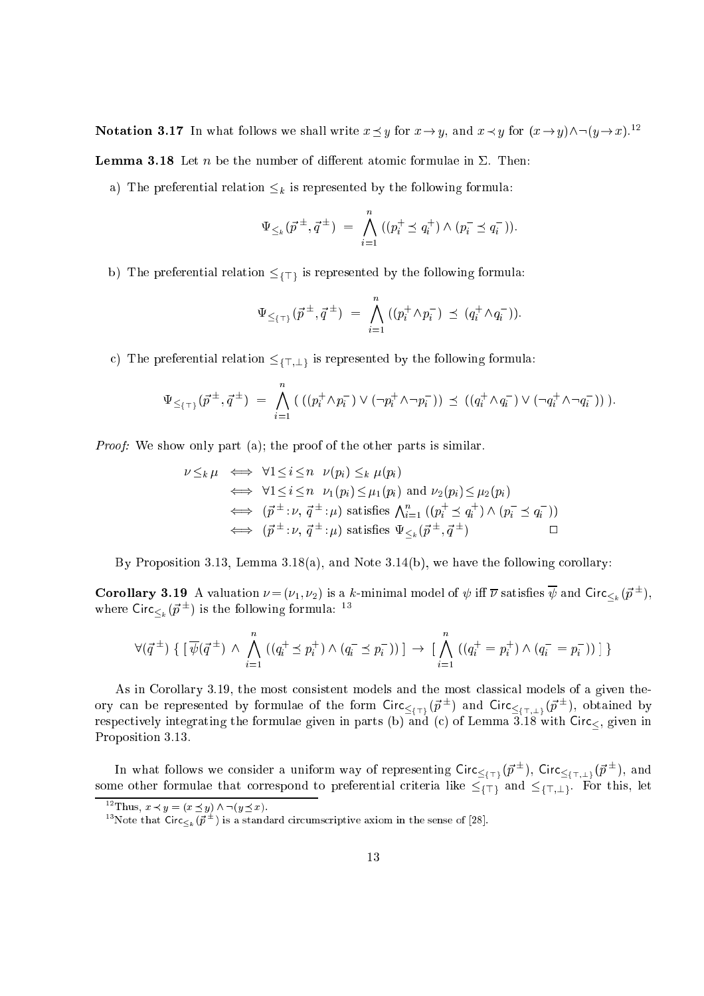**Notation 3.17** In what follows we shall write  $x \preceq y$  for  $x \rightarrow y$ , and  $x \prec y$  for  $(x \rightarrow y) \land \neg(y \rightarrow x)$ .<sup>12</sup>

**Lemma 3.18** Let *n* be the number of different atomic formulae in  $\Sigma$ . Then:

a) The preferential relation  $\leq_k$  is represented by the following formula:

$$
\Psi_{\leq k}(\vec{p}^{\pm}, \vec{q}^{\pm}) = \bigwedge_{i=1}^{n} ((p_i^+ \preceq q_i^+) \wedge (p_i^- \preceq q_i^-)).
$$

b) The preference relation for represented by the following formula:  $\mu$  is represented by the following formula:

$$
\Psi_{\leq {\{\top\}}}(\vec{p}^{\pm},\vec{q}^{\pm})\;=\;\bigwedge_{i=1}^n\;((p_i^+\wedge p_i^-)\;\preceq\;(q_i^+\wedge q_i^-)).
$$

c) The preferential relation  $\leq_{\{\top,\perp\}}$  is represented by the following formula:

$$
\Psi_{\leq {\{\top\}}}(\vec{p}^{\pm},\vec{q}^{\pm}) = \bigwedge_{i=1}^{n} \left( \left( (p_i^+ \wedge p_i^-) \vee (\neg p_i^+ \wedge \neg p_i^-) \right) \preceq \left( (q_i^+ \wedge q_i^-) \vee (\neg q_i^+ \wedge \neg q_i^-) \right) \right).
$$

Proof: We show only part (a); the proof of the other parts is similar.

$$
\nu \leq_k \mu \iff \forall 1 \leq i \leq n \quad \nu(p_i) \leq_k \mu(p_i)
$$
  
\n
$$
\iff \forall 1 \leq i \leq n \quad \nu_1(p_i) \leq \mu_1(p_i) \text{ and } \nu_2(p_i) \leq \mu_2(p_i)
$$
  
\n
$$
\iff (\vec{p}^{\pm} : \nu, \vec{q}^{\pm} : \mu) \text{ satisfies } \bigwedge_{i=1}^n ((p_i^+ \leq q_i^+) \wedge (p_i^- \leq q_i^-))
$$
  
\n
$$
\iff (\vec{p}^{\pm} : \nu, \vec{q}^{\pm} : \mu) \text{ satisfies } \Psi_{\leq_k}(\vec{p}^{\pm}, \vec{q}^{\pm})
$$

By Proposition 3.13, Lemma 3.18(a), and Note 3.14(b), we have the following corollary:

**Corollary 3.19** A valuation  $\nu = (\nu_1, \nu_2)$  is a k-minimal model of  $\psi$  iff  $\overline{\nu}$  satisfies  $\psi$  and Circ $\lt_k (\vec{p}^{\pm}),$ where  $Circ_{k}(p^-)$  is the following formula:  $\Box$ 

$$
\forall (\vec{q}^{\,\pm}) \, \{\ [\ \overline{\psi}(\vec{q}^{\,\pm}) \ \wedge \ \bigwedge_{i=1}^n \ ((q^+_i \preceq p^+_i) \ \wedge \ (q^-_i \preceq p^-_i)) \ ] \ \rightarrow \ [\ \bigwedge_{i=1}^n \ ((q^+_i = p^+_i) \ \wedge \ (q^-_i = p^-_i)) \ ] \ \}
$$

As in Corollary 3.19, the most consistent models and the most classical models of a given theory can be represented by formulae of the form Circ $\lt_{\{\tau\}}(p^-)$  and Circ $\lt_{\{\tau,\bot\}}(p^-)$ , obtained by respectively integrating the formulae given in parts (b) and (c) of Lemma 3.18 with  $Circ_{\leq}$ , given in Proposition 3.13.

In what follows we consider a uniform way of representing Circ $\langle \tau_1, (p^-), \text{ Circ} \rangle_{\{\tau_{i+1}\}}$ riteria interiorential italia interiorential preferential italiale for the  $\pm$ {{[{[[]]][[]][[]][[]][[][[][[]][

<sup>&</sup>lt;sup>12</sup>Thus,  $x \prec y = (x \preceq y) \land \neg(y \preceq x)$ .

Thote that Circ $\langle k_\mu (p^{\pm}) \rangle$  is a standard circumscriptive axiom in the sense of [28].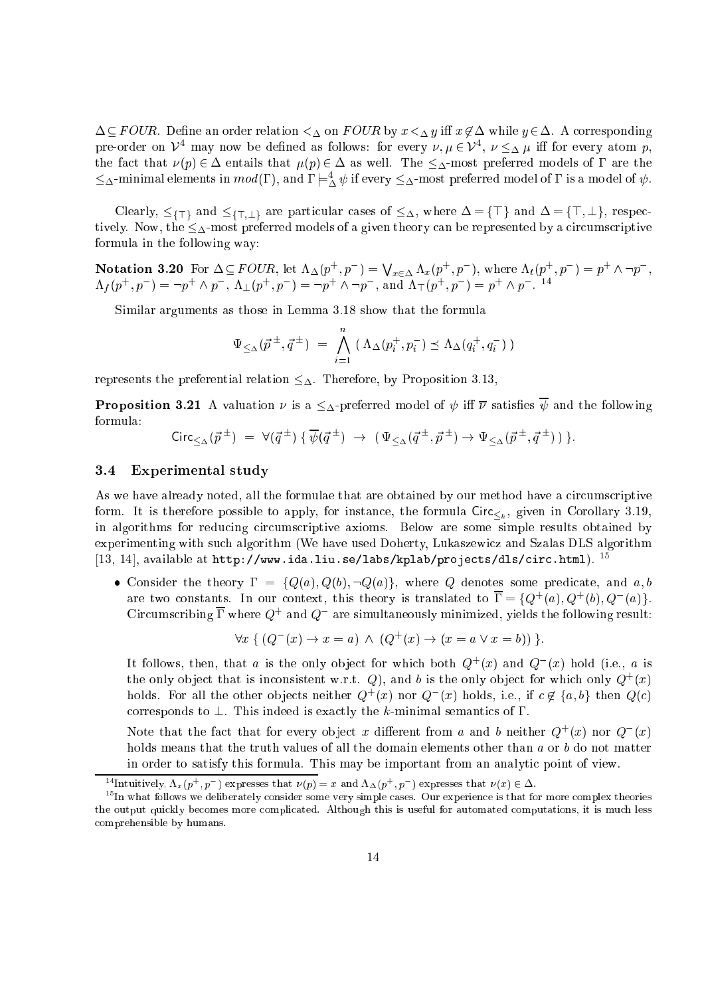$\Delta \subseteq FOUR$ . Define an order relation  $\lt_{\Delta}$  on FOUR by  $x \lt_{\Delta} y$  iff  $x \notin \Delta$  while  $y \in \Delta$ . A corresponding pre-order on  $\nu^+$  may now be defined as follows: for every  $\nu, \mu \in \nu^-, \nu \leq_{\Delta} \mu$  iff for every atom  $p$ , the fact that  $\nu(p) \in \Delta$  entails that  $\mu(p) \in \Delta$  as well. The  $\leq_{\Delta}$ -most preferred models of  $\Gamma$  are the  $\leq$ A-minimal elements in  $mod(1)$ , and  $1 \models_A^{\sim} \psi$  if every  $\leq_A$ -most preferred model of 1 is a model of  $\psi$ .

Clearly, f>g and f>;?g are parti
ular ases of , where = f>g and = f>; ?g, respe
 tively. Now, the  $\leq_{\Delta}$ -most preferred models of a given theory can be represented by a circumscriptive formula in the following way:

Notation 3.20 For  $\Delta \subseteq FOUR$ , let  $\Lambda_{\Delta}(p^+, p^-) =$  $\bigvee_{x \in \Delta} \Lambda_x(p^+, p^-), \text{ where } \Lambda_t(p^+, p^-) = p^+ \wedge \neg p^-,$  $\Lambda_f(p^+,p^-) = \neg p^+ \wedge p^-, \Lambda_{\perp}(p^+,p^-) = \neg p^+ \wedge \neg p^-,$  and  $\Lambda_{\perp}(p^+,p^-) = p^+ \wedge p^-$ .

Similar arguments as those in Lemma 3.18 show that the formula

$$
\Psi_{\leq \Delta}(\vec{p}^{\pm}, \vec{q}^{\pm}) = \bigwedge_{i=1}^{n} (\Lambda_{\Delta}(p_i^+, p_i^-) \preceq \Lambda_{\Delta}(q_i^+, q_i^-))
$$

represents the preferential relation  $\leq_{\Delta}$ . Therefore, by Proposition 3.13,

**Proposition 3.21** A valuation  $\nu$  is a  $\leq_{\Delta}$ -preferred model of  $\psi$  iff  $\overline{\nu}$  satisfies  $\overline{\psi}$  and the following formula:

$$
\operatorname{Circ}_{\leq_{\Delta}}(\vec{p}^{\pm}) = \forall (\vec{q}^{\pm}) \{ \overline{\psi}(\vec{q}^{\pm}) \rightarrow (\Psi_{\leq_{\Delta}}(\vec{q}^{\pm}, \vec{p}^{\pm}) \rightarrow \Psi_{\leq_{\Delta}}(\vec{p}^{\pm}, \vec{q}^{\pm}) ) \}.
$$

#### 3.4 Experimental study

As we have already noted, all the formulae that are obtained by our method have a circumscriptive is the form in the formula  $\leq k$  of instance  $\leq k$  in  $\leq k$  in  $\leq k$  . The formula  $\leq k$ in algorithms for reducing circumscriptive axioms. Below are some simple results obtained by experimenting with su
h algorithm (We have used Doherty, Lukaszewi
z and Szalas DLS algorithm [13, 14], available at  $http://www.ida.liu.se/labs/kplab/projects/dls/circ.html$ .  $^{15}$ 

• Consider the theory  $\Gamma = \{Q(a), Q(b), \neg Q(a)\}\$ , where Q denotes some predicate, and a, b are two constants. In our context, this theory is translated to  $\Gamma = \{Q^+(a), Q^+(b), Q^-(a)\}$ .  $\rm C$ ircumscribing L where  $Q^+$  and  $Q^-$  are simultaneously minimized, yields the following result:

$$
\forall x \{ (Q^{-}(x) \to x = a) \land (Q^{+}(x) \to (x = a \lor x = b)) \}.
$$

It follows, then, that  $a$  is the only object for which both  $Q^+(x)$  and  $Q^-(x)$  hold (i.e.,  $a$  is the only object that is inconsistent w.r.t.  $Q$ ), and b is the only object for which only  $Q^+(x)$ holds. For all the other objects neither  $Q+(x)$  hor  $Q-(x)$  holds, i.e., if  $c \notin \{a, b\}$  then  $Q(C)$ corresponds to  $\perp$ . This indeed is exactly the k-minimal semantics of  $\Gamma$ .

Note that the fact that for every object x different from a and b neither  $Q^+(x)$  nor  $Q^-(x)$ holds means that the truth values of all the domain elements other than a or b do not matter in order to satisfy this formula. This may be important from an analyti point of view.

The untively,  $\Lambda_x(p_+,p_-)$  expresses that  $\nu(p)=x$  and  $\Lambda_{\Delta}(p_+,p_-)$  expresses that  $\nu(x)\in\Delta$ .

 $\lceil \cdot \rceil$ in what follows we deliberately consider some very simple cases. Our experience is that for more complex theories the output quickly becomes more complicated. Although this is useful for automated computations, it is much less omprehensible by humans.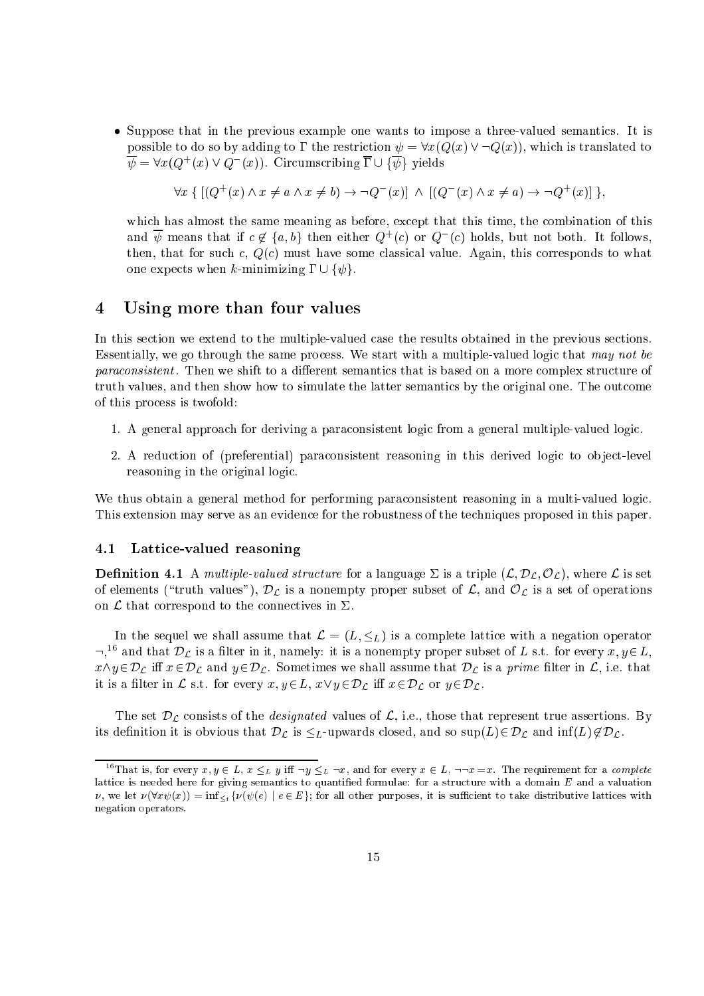• Suppose that in the previous example one wants to impose a three-valued semantics. It is possible to do so by adding to  $\Gamma$  the restriction  $\psi = \forall x(Q(x) \lor \neg Q(x))$ , which is translated to  $\psi = \forall x (Q \mid (x) \lor Q \mid (x))$ . Circumscriping 1  $\cup$  { $\psi$ } yields

$$
\forall x \{ [(Q^+(x) \land x \neq a \land x \neq b) \rightarrow \neg Q^-(x)] \land [(Q^-(x) \land x \neq a) \rightarrow \neg Q^+(x)] \},
$$

which has almost the same meaning as before, except that this time, the combination of this and  $\psi$  means that if  $c \notin \{a, b\}$  then either  $Q^+(c)$  or  $Q^-(c)$  holds, but not both. It follows, then, that for such c,  $Q(c)$  must have some classical value. Again, this corresponds to what one expects when k-minimizing  $\Gamma \cup {\psi}$ .

# 4 Using more than four values

In this section we extend to the multiple-valued case the results obtained in the previous sections. Essentially, we go through the same process. We start with a multiple-valued logic that may not be paraconsistent. Then we shift to a different semantics that is based on a more complex structure of truth values, and then show how to simulate the latter semantics by the original one. The outcome of this pro
ess is twofold:

- 1. A general approach for deriving a paraconsistent logic from a general multiple-valued logic.
- 2. A reduction of (preferential) paraconsistent reasoning in this derived logic to object-level reasoning in the original logi
.

We thus obtain a general method for performing paraconsistent reasoning in a multi-valued logic. This extension may serve as an evidence for the robustness of the techniques proposed in this paper.

# 4.1 Latti
e-valued reasoning

**Definition 4.1** A multiple-valued structure for a language  $\Sigma$  is a triple  $(L, \mathcal{D}_L, \mathcal{O}_L)$ , where  $\mathcal L$  is set of elements ( ) drains values  $\rho$  is  $\omega$  as a non-mempty proper subset of L, and OL is a set of operations on  $\mathcal L$  that correspond to the connectives in  $\Sigma$ .

In the sequel we shall assume that  $\mathcal{L} = (L, \leq_L)$  is a complete lattice with a negation operator  $\lnot$ , and that  $\nu_L$  is a meer in it, namely: it is a nonempty proper subset of L s.t. for every  $x,y\!\in\!L,$ which is added to  $\mu$  and  $\mu$  and  $\mu$  is a prime that DL is a prime that DL is a prime that  $\mu$  is a prime that  $\mu$ it is a contract in the contract in Lie  $\mu$  and  $\mu$  2DL is  $\mu$  2DL in  $\mu$  2DL in  $\mu$  2DL. in  $\mu$  2DL. in  $\mu$ 

The set  $\omega$  i.e. the designation values of  $\omega$  is the designation true assertion  $\omega$ its decreasing it is obvious that  $L$  is  $L-1$  is parameters. It is obvious that  $L-1$  62DL and information  $L$ 

<sup>&</sup>lt;sup>16</sup>That is, for every  $x, y \in L$ ,  $x \leq_L y$  iff  $\neg y \leq_L \neg x$ , and for every  $x \in L$ ,  $\neg\neg x = x$ . The requirement for a *complete* lattice is needed here for giving semantics to quantified formulae: for a structure with a domain  $E$  and a valuation  $\nu$ , we let  $\nu(\forall x \psi(x)) = \inf_{\leq t} {\nu(\psi(e) \mid e \in E)}$ ; for all other purposes, it is sufficient to take distributive lattices with negation operators.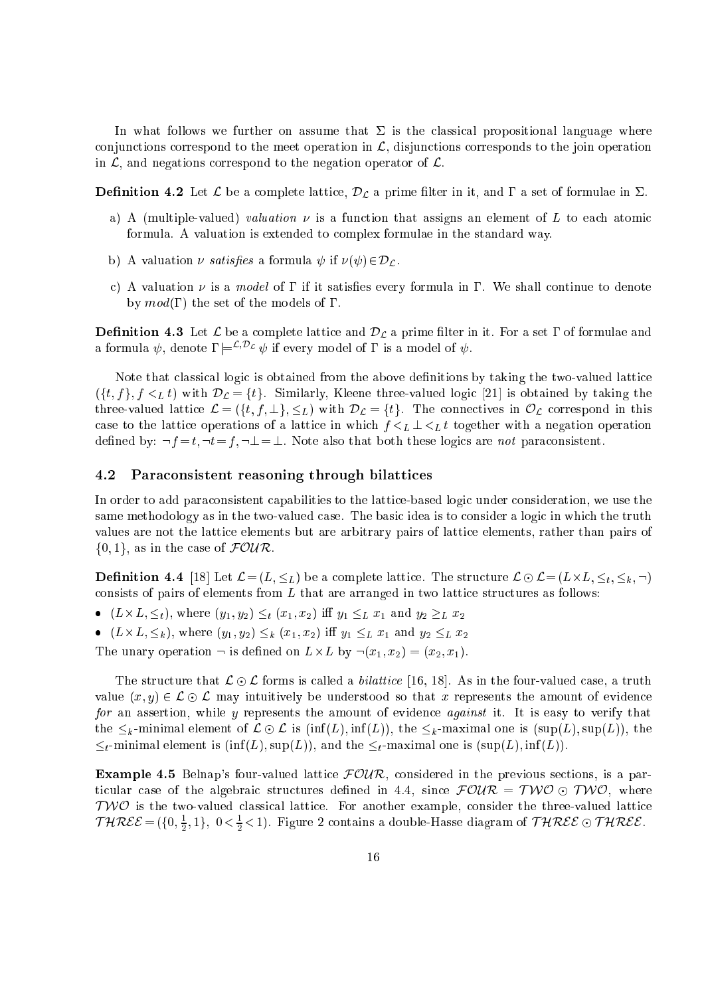In what follows we further on assume that  $\Sigma$  is the classical propositional language where conjunctions correspond to the meet operation in  $\mathcal{L}$ , disjunctions corresponds to the join operation in  $\mathcal{L}$ , and negations correspond to the negation operator of  $\mathcal{L}$ .

**Definition 4.2** Let  $\mathcal{L}$  be a complete lattice,  $\mathcal{D}_{\mathcal{L}}$  a prime filter in it, and  $\Gamma$  a set of formulae in  $\Sigma$ .

- a) A (multiple-valued) *valuation*  $\nu$  is a function that assigns an element of L to each atomic formula. A valuation is extended to omplex formulae in the standard way.
- b) A valuation  $\nu$  satisfies a formula  $\psi$  if  $\nu(\psi) \in \mathcal{D}_\mathcal{L}$ .
- c) A valuation  $\nu$  is a model of  $\Gamma$  if it satisfies every formula in  $\Gamma$ . We shall continue to denote by  $mod(\Gamma)$  the set of the models of  $\Gamma$ .

**Definition 4.3** Let  $\mathcal L$  be a complete lattice and  $\mathcal D_{\mathcal L}$  a prime filter in it. For a set  $\Gamma$  of formulae and a formula  $\psi$ , denote  $\Gamma \models^{\mathcal{L}, \mathcal{D}_{\mathcal{L}}} \psi$  if every model of  $\Gamma$  is a model of  $\psi$ .

Note that classical logic is obtained from the above definitions by taking the two-valued lattice  $(\{t, f\}, f \leq_L t)$  with  $\mathcal{D}_{\mathcal{L}} = \{t\}.$  Similarly, Kleene three-valued logic [21] is obtained by taking the three-valued lattice  $\mathcal{L} = (\{t, f, \perp\}, \leq_L)$  with  $\mathcal{D}_{\mathcal{L}} = \{t\}$ . The connectives in  $\mathcal{O}_{\mathcal{L}}$  correspond in this case to the lattice operations of a lattice in which  $f \leq_L \mathcal{L} \leq_L t$  together with a negation operation defined by:  $\neg f = t, \neg t = f, \neg \bot = \bot$ . Note also that both these logics are not paraconsistent.

#### 4.2 Paraconsistent reasoning through bilattices

In order to add paraconsistent capabilities to the lattice-based logic under consideration, we use the same methodology as in the two-valued case. The basic idea is to consider a logic in which the truth values are not the latti
e elements but are arbitrary pairs of latti
e elements, rather than pairs of  $\{0,1\}$ , as in the case of  $\text{FOUR}.$ 

**Definition 4.4** [18] Let  $\mathcal{L} = (L, \leq_L)$  be a complete lattice. The structure  $\mathcal{L} \odot \mathcal{L} = (L \times L, \leq_t, \leq_k, -)$ consists of pairs of elements from  $L$  that are arranged in two lattice structures as follows:

- $\mathcal{L} = \{L_1, L_2, \ldots, L_{N-1}, \ldots, L_{N-1}, \ldots, L_{N-1}, \ldots, L_{N-1}, \ldots, L_{N-1}, \ldots, L_{N-1}, \ldots, L_{N-1}, \ldots, L_{N-1}, \ldots, L_{N-1}, \ldots, L_{N-1}, \ldots, L_{N-1}, \ldots, L_{N-1}, \ldots, L_{N-1}, \ldots, L_{N-1}, \ldots, L_{N-1}, \ldots, L_{N-1}, \ldots, L_{N-1}, \ldots, L_{N-1}, \ldots, L_{N-1}, \ldots, L_{N-1}, \ldots$
- $\lambda_1 = \lambda_1 \lambda_2$  in the field  $\lambda_2 = \lambda_1 \lambda_2$  in the  $\lambda_1 = \lambda_2 \lambda_3$  in the state  $\lambda_2 = \lambda_1 \lambda_2$

The unary operation is determined on L-1, (x1). In A, (x2) = (y

The structure that  $\mathcal{L} \odot \mathcal{L}$  forms is called a *bilattice* [16, 18]. As in the four-valued case, a truth value  $(x, y) \in \mathcal{L} \odot \mathcal{L}$  may intuitively be understood so that x represents the amount of evidence for an assertion, while y represents the amount of evidence *against* it. It is easy to verify that the  $\leq_k$ -minimal element of  $\mathcal{L} \odot \mathcal{L}$  is (inf(L), inf(L)), the  $\leq_k$ -maximal one is (sup(L), sup(L)), the  $t_{t-1}$ -minimal element is (inf(L), sup(L)), and the  $\leq_t$ -maximal one is (sup(L), inf(L)).

**Example 4.5** Belnap's four-valued lattice  $\text{FOLR}$ , considered in the previous sections, is a particular case of the algebraic structures defined in 4.4, since  $\mathcal{F}OUR = TWO \odot TWO$ , where  $TWO$  is the two-valued classical lattice. For another example, consider the three-valued lattice  $T$   $H$   $K$  $C$   $C$   $=$   $\{10, \frac{2}{5}$  $\frac{1}{2}$ , 1}, 0<  $\frac{1}{2}$  < 1). Figure 2 contains a double-Hasse diagram of T HREE  $\odot$  T HREE.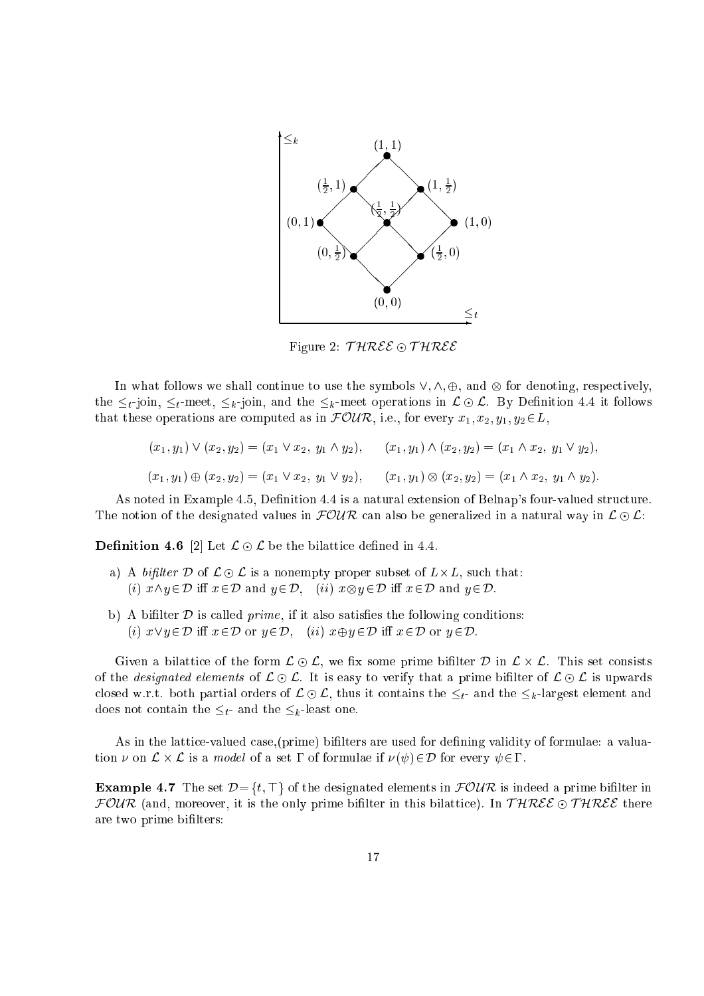

Figure 2:  $THREE \odot THREE$ 

In what follows we shall continue to use the symbols  $\mathcal{P}_i$  and  $\mathcal{P}_j$  ,  $\mathcal{P}_j$  and  $\mathcal{P}_j$  and  $\mathcal{P}_j$  and  $\mathcal{P}_j$ the  $\leq_t$ -join,  $\leq_t$ -meet,  $\leq_k$ -join, and the  $\leq_k$ -meet operations in  $\mathcal{L} \odot \mathcal{L}$ . By Definition 4.4 it follows that these operations are computed as in  $\mathcal{FOUR}$ , i.e., for every  $x_1, x_2, y_1, y_2 \in L$ ,

$$
(x_1, y_1) \vee (x_2, y_2) = (x_1 \vee x_2, y_1 \wedge y_2), \qquad (x_1, y_1) \wedge (x_2, y_2) = (x_1 \wedge x_2, y_1 \vee y_2),
$$
  

$$
(x_1, y_1) \oplus (x_2, y_2) = (x_1 \vee x_2, y_1 \vee y_2), \qquad (x_1, y_1) \otimes (x_2, y_2) = (x_1 \wedge x_2, y_1 \wedge y_2).
$$

As noted in Example 4.5, Definition 4.4 is a natural extension of Belnap's four-valued structure. The notion of the designated values in  $FOMR$  can also be generalized in a natural way in  $\mathcal{L} \odot \mathcal{L}$ :

**Definition 4.6** [2] Let  $\mathcal{L} \odot \mathcal{L}$  be the bilattice defined in 4.4.

- a) A bit let  $\mathcal{L}$  be the contract of L-L is a non-model of L-L is a non-model of L-L is a non-model of L-L (i) x^y 2D i x2D and <sup>y</sup> 2D, (ii) <sup>x</sup><sup>y</sup> 2D i x2D and <sup>y</sup> 2D.
- b) A bifilter  $D$  is called *prime*, if it also satisfies the following conditions: (i)  $x \vee y \in \mathcal{D}$  iff  $x \in \mathcal{D}$  or  $y \in \mathcal{D}$ , (ii)  $x \oplus y \in \mathcal{D}$  iff  $x \in \mathcal{D}$  or  $y \in \mathcal{D}$ .

given a bilattical contract content of  $\mathbf{y}$  , we have bilattic primes bilattic content of the content of the of the *designated elements* of  $\mathcal{L} \odot \mathcal{L}$ . It is easy to verify that a prime bifilter of  $\mathcal{L} \odot \mathcal{L}$  is upwards closed w.r.t. both partial orders of  $\mathcal{L} \odot \mathcal{L}$ , thus it contains the  $\leq_t$ - and the  $\leq_k$ -largest element and does not contain the  $\leq_t$ - and the  $\leq_k$ -least one.

As in the lattice-valued case, (prime) bifilters are used for defining validity of formulae: a valuation on <sup>L</sup> - <sup>L</sup> is a model of a set of formulae if ( )2D for every 2.

**Example 4.7** The set  $\mathcal{D} = \{t, \top\}$  of the designated elements in  $\mathcal{FOUR}$  is indeed a prime bifilter in FOUR (and, moreover, it is the only prime bifilter in this bilattice). In  $THREE \odot THREE$  there are two prime bilters: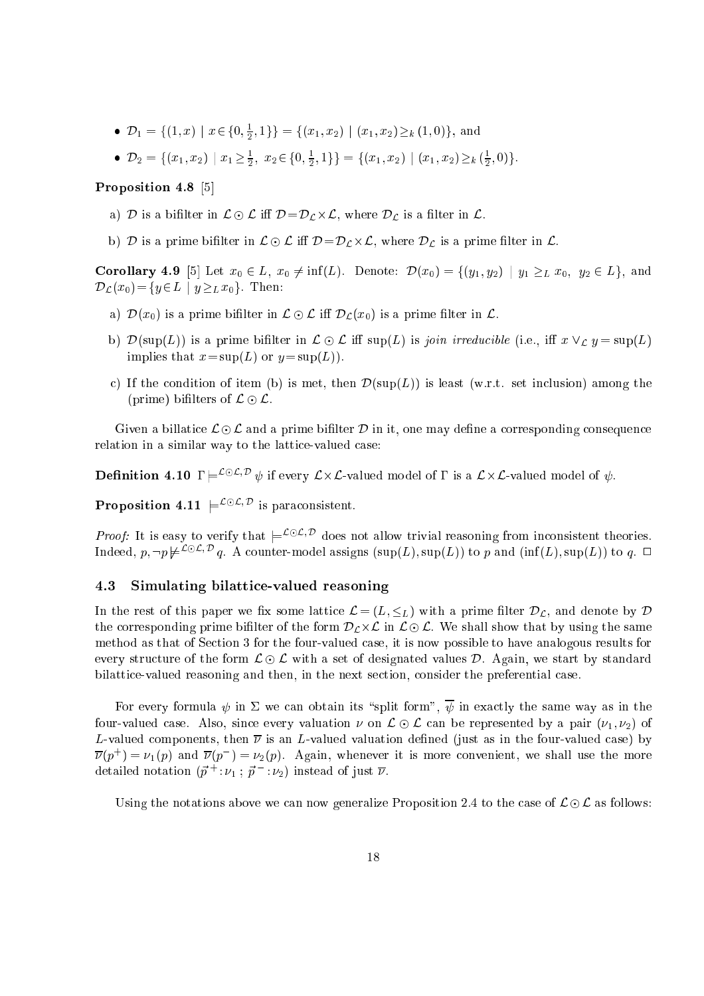- $D_1 = \{(1, x) \mid x \in \{0, \frac{1}{2}, 1\}\}\ = \{(x_1, x_2) \mid (x_1, x_2) \geq k(1, 0)\}\$ , and
- $D_2 = \{ (x_1, x_2) \mid x_1 \geq \frac{1}{2}, x_2 \in \{0, \frac{1}{2}, 1\} \} = \{ (x_1, x_2) \mid (x_1, x_2) \geq_k (\frac{1}{2}, 0) \}$ .

# Proposition 4.8 [5]

- and it is a biliterature of the contract in  $\mathcal{L}$  in Lemma  $\mathcal{L}$  , where  $\mathcal{L}$  is a contract of the set
- $\mu$  is a prime binded in L is a prime binded  $\mu$  . The  $\mu$  is a prime defined in L is a prime of  $\mu$  .

**Corollary 4.9** [5] Let  $x_0 \in L$ ,  $x_0 \neq \inf(L)$ . Denote:  $\mathcal{D}(x_0) = \{(y_1, y_2) | y_1 \geq_L x_0, y_2 \in L\}$ , and  $\mathcal{D}_{\mathcal{L}}(x_0) = \{y \in L \mid y \geq_L x_0\}.$  Then:

- a)  $\mathcal{D}(x_0)$  is a prime bifilter in  $\mathcal{L} \odot \mathcal{L}$  iff  $\mathcal{D}_{\mathcal{L}}(x_0)$  is a prime filter in  $\mathcal{L}$ .
- $\alpha$  ) is the position of the contract of  $\alpha$  is the sup(L) in Join irreduction (i.e., i.e.,  $\alpha$  , i.e.,  $\alpha$ implies that  $x = \sup(L)$  or  $y = \sup(L)$ .
- c) If the condition of item (b) is met, then  $\mathcal{D}(\text{sup}(L))$  is least (w.r.t. set inclusion) among the (prime) bifilters of  $\mathcal{L} \odot \mathcal{L}$ .

Given a billatice  $\mathcal{L} \odot \mathcal{L}$  and a prime bifilter D in it, one may define a corresponding consequence relation in a similar way to the lattice-valued case:

**Definition 4.10**  $\Gamma \models^{\text{L}\cup\text{L},\text{L}} \psi$  if every  $\mathcal{L}\times\mathcal{L}$ -valued model of  $\Gamma$  is a  $\mathcal{L}\times\mathcal{L}$ -valued model of  $\psi$ .

**Proposition 4.11**  $\models^{\mathcal{L}\cup\mathcal{L}, \mathcal{D}}$  is paraconsistent.

*Proof:* It is easy to verify that  $\models$   $\rightarrow$   $\rightarrow$  does not allow trivial reasoning from inconsistent theories. ниеест, р,  $\neg p$   $\not\equiv$   $\neg$   $q$ . A counter-model assigns (sup(L), sup(L)) to p and (inf(L), sup(L)) to q.  $\Box$ 

# 4.3 Simulating bilatti
e-valued reasoning

In the rest of this paper we fix some lattice  $\mathcal{L} = (L, \leq_L)$  with a prime filter  $\mathcal{D}_{\mathcal{L}}$ , and denote by  $\mathcal{D}$  $\mathbf r$  is contracted binding prime binding prime binding the form DL-L in Lie and DL-L in Lie and DL-L in Lie and DL-L in Lie and DL-L in Lie and DL-L in Lie and DL-L in Lie and DL-L in Lie and DL-L in Lie and DL-L in Lie method as that of Section 3 for the four-valued case, it is now possible to have analogous results for every structure of the form  $\mathcal{L} \odot \mathcal{L}$  with a set of designated values D. Again, we start by standard bilattice-valued reasoning and then, in the next section, consider the preferential case.

For every formula  $\psi$  in  $\Sigma$  we can obtain its "split form",  $\overline{\psi}$  in exactly the same way as in the four-valued case. Also, since every valuation  $\nu$  on  $\mathcal{L} \odot \mathcal{L}$  can be represented by a pair  $(\nu_1, \nu_2)$  of L-valued components, then  $\bar{\nu}$  is an L-valued valuation defined (just as in the four-valued case) by  $\nu(p^+) = \nu_1(p)$  and  $\nu(p^-) = \nu_2(p)$ . Again, whenever it is more convenient, we shall use the more detailed notation  $(p + p_1; p - p_2)$  instead of just  $\nu$ .

Using the notations above we can now generalize Proposition 2.4 to the case of  $\mathcal{L} \odot \mathcal{L}$  as follows: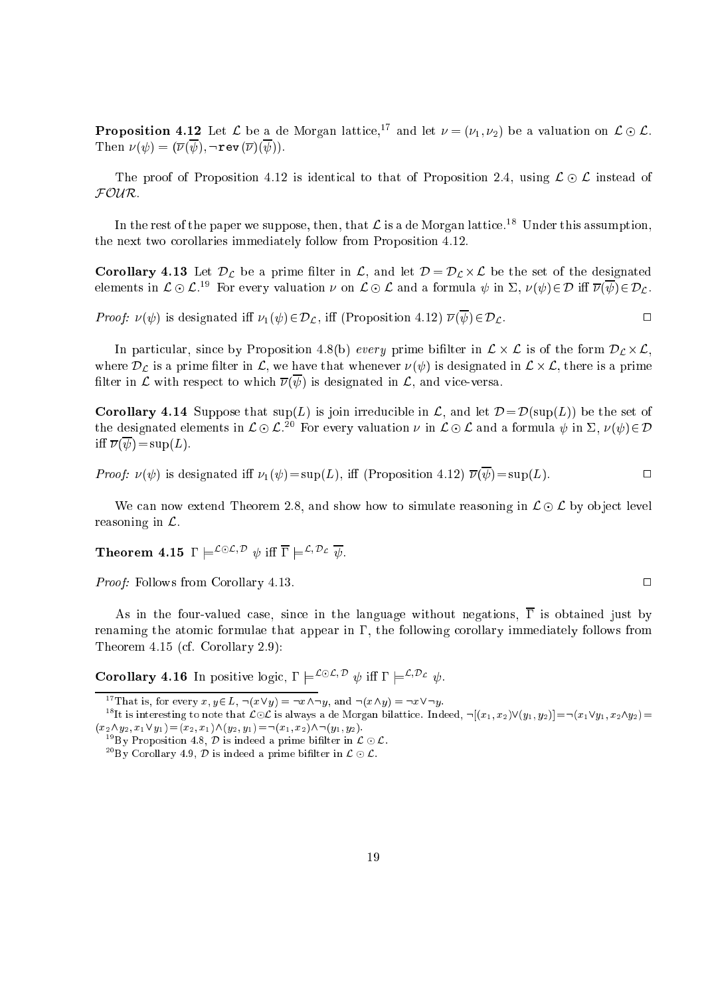**Proposition 4.12** Let  $\mathcal{L}$  be a de Morgan lattice,<sup>17</sup> and let  $\nu = (\nu_1, \nu_2)$  be a valuation on  $\mathcal{L} \odot \mathcal{L}$ . Then  $\nu(\psi) = (\overline{\nu}(\overline{\psi}), \neg \operatorname{rev}(\overline{\nu})(\overline{\psi})).$ 

The proof of Proposition 4.12 is identical to that of Proposition 2.4, using  $\mathcal{L} \odot \mathcal{L}$  instead of FOUR.

In the rest of the paper we suppose, then, that  $\mathcal L$  is a de Morgan lattice.<sup>18</sup> Under this assumption, the next two orollaries immediately follow from Proposition 4.12.

**Corollary 4.13** Let  $\mathcal{D}_{\mathcal{L}}$  be a prime filter in  $\mathcal{L}$ , and let  $\mathcal{D} = \mathcal{D}_{\mathcal{L}} \times \mathcal{L}$  be the set of the designated elements in  $L \oplus L$ . For every valuation  $\nu$  on  $L \oplus L$  and a formula  $\psi$  in  $L$ ,  $\nu(\psi) \in \nu$  in  $\nu(\psi) \in \nu_L$ .

*Proof:*  $\nu(\psi)$  is designated iff  $\nu_1(\psi) \in \mathcal{D}_{\mathcal{L}}$ , iff (Proposition 4.12)  $\overline{\nu}(\overline{\psi}) \in \mathcal{D}_{\mathcal{L}}$ .

In particle and the following the form  $\alpha$  -  $\alpha$  ,  $\alpha$  ,  $\alpha$  ,  $\alpha$  ,  $\alpha$  ,  $\alpha$  and  $\alpha$  and  $\alpha$  and  $\alpha$  and  $\alpha$  and  $\alpha$  and  $\alpha$  . In  $\alpha$ where  $L$  is a prime that when  $\infty$  , we have that whenever ( ) is designated in L  $\infty$  , whenever  $L$ filter in  $\mathcal L$  with respect to which  $\overline{\nu}(\overline{\psi})$  is designated in  $\mathcal L$ , and vice-versa.

**Corollary 4.14** Suppose that  $\text{sup}(L)$  is join irreducible in L, and let  $\mathcal{D} = \mathcal{D}(\text{sup}(L))$  be the set of the designated elements in  $L \cup L$ . For every valuation  $\nu$  in  $L \cup L$  and a formula  $\psi$  in  $L$ ,  $\nu(\psi) \in \nu$ iff  $\overline{\nu}(\overline{\psi}) = \sup(L)$ .

*Proof:*  $\nu(\psi)$  is designated iff  $\nu_1(\psi) = \sup(L)$ , iff (Proposition 4.12)  $\overline{\nu}(\overline{\psi}) = \sup(L)$ .  $\Box$ 

We can now extend Theorem 2.8, and show how to simulate reasoning in  $\mathcal{L} \odot \mathcal{L}$  by object level reasoning in  $\mathcal{L}$ .

Theorem 4.15  $\Gamma \models^{\text{L} \cup \text{L}, D} \psi$  iff  $\Gamma \models^{\text{L}, D} \psi$ .

Proof: Follows from Corollary 4.13.

As in the four-valued case, since in the language without negations,  $\overline{\Gamma}$  is obtained just by renaming the atomic formulae that appear in  $\Gamma$ , the following corollary immediately follows from Theorem 4.15 (
f. Corollary 2.9):

**Corollary 4.16** In positive logic,  $\Gamma \models^{\mathcal{L} \cup \mathcal{L}, \mathcal{D}} \psi$  iff  $\Gamma \models^{\mathcal{L}, \mathcal{D}_{\mathcal{L}}} \psi$ .

<sup>&</sup>lt;sup>17</sup>That is, for every  $x, y \in L$ ,  $\neg(x \vee y) = \neg x \wedge \neg y$ , and  $\neg(x \wedge y) = \neg x \vee \neg y$ .

It is interesting to note that  $\mathcal{L} \odot \mathcal{L}$  is always a de Morgan bilattice. Indeed,  $\neg((x_1, x_2) \lor (y_1, y_2)) = \neg(x_1 \lor y_1, x_2 \land y_2) =$  $(x_2 \wedge y_2; x_1 \vee y_1) = (x_2, x_1) \wedge (y_2, y_1) = \neg(x_1, x_2) \wedge \neg(y_1, y_2).$ 

<sup>&</sup>lt;sup>19</sup>By Proposition 4.8, D is indeed a prime bifilter in  $\mathcal{L} \odot \mathcal{L}$ .

<sup>&</sup>lt;sup>20</sup>By Corollary 4.9,  $\mathcal D$  is indeed a prime bifilter in  $\mathcal L \odot \mathcal L$ .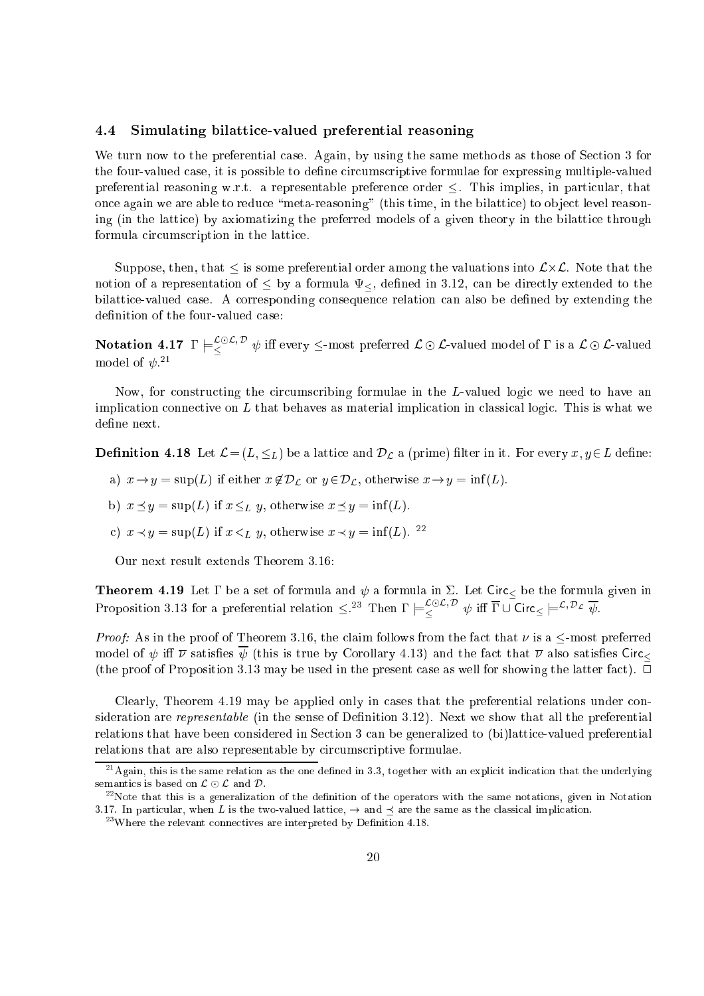#### $4.4$ Simulating bilattice-valued preferential reasoning

We turn now to the preferential case. Again, by using the same methods as those of Section 3 for the four-valued case, it is possible to define circumscriptive formulae for expressing multiple-valued preferential reasoning w.r.t. a representable preference order  $\leq$ . This implies, in particular, that once again we are able to reduce "meta-reasoning" (this time, in the bilattice) to object level reasoning (in the lattice) by axiomatizing the preferred models of a given theory in the bilattice through formula circumscription in the lattice.

Suppose, then, that is some preferential order among the valuations into L-L. Note that the notion of a representation of  $\leq$  by a formula  $\Psi_{\leq}$ , defined in 3.12, can be directly extended to the bilattice-valued case. A corresponding consequence relation can also be defined by extending the definition of the four-valued case:

Notation 4.17  $\Gamma\models_{\leq}^{\text{L}\oplus\text{L},\ \nu}\psi$  iff every  $\leq$ -most preferred  $\mathcal{L}\odot\mathcal{L}$ -valued model of  $\Gamma$  is a  $\mathcal{L}\odot\mathcal{L}$ -valued model of  $\psi$ .  $\bar{ }$ 

Now, for constructing the circumscribing formulae in the L-valued logic we need to have an implication connective on  $L$  that behaves as material implication in classical logic. This is what we define next.

**Definition 4.18** Let  $\mathcal{L} = (L, \leq_L)$  be a lattice and  $\mathcal{D}_{\mathcal{L}}$  a (prime) filter in it. For every  $x, y \in L$  define:

- and if  $x$  is supplying the support of  $\mu$  if  $y$  if  $\mu$  is the infinite x  $y$  and  $\mu$  information  $\mu$
- b)  $x \preceq y = \sup(L)$  if  $x \leq_L y$ , otherwise  $x \preceq y = \inf(L)$ .
- c)  $x \prec y = \sup(L)$  if  $x \prec_L y$ , otherwise  $x \prec y = \inf(L)$ . <sup>22</sup>

Our next result extends Theorem 3.16:

**Theorem 4.19** Let  $\Gamma$  be a set of formula and  $\psi$  a formula in  $\Sigma$ . Let Circ<sub><</sub> be the formula given in Proposition 3.13 for a preferential relation  $\leq$ . Then  $\Gamma \models \leq$   $\forall$  iff  $\Gamma \cup \text{Circ} \models \leq \sim$   $\nu$ ,

*Proof:* As in the proof of Theorem 3.16, the claim follows from the fact that  $\nu$  is a  $\leq$ -most preferred model of  $\psi$  iff  $\overline{\nu}$  satisfies  $\psi$  (this is true by Corollary 4.13) and the fact that  $\overline{\nu}$  also satisfies Circ (the proof of Proposition 3.13 may be used in the present case as well for showing the latter fact).  $\Box$ 

Clearly, Theorem 4.19 may be applied only in cases that the preferential relations under consideration are *representable* (in the sense of Definition 3.12). Next we show that all the preferential relations that have been considered in Section 3 can be generalized to (bi)lattice-valued preferential relations that are also representable by circumscriptive formulae.

 $^{21}$ Again, this is the same relation as the one defined in 3.3, together with an explicit indication that the underlying semantics is based on  $\mathcal{L} \odot \mathcal{L}$  and  $\mathcal{D}$ .

 $^{22}$ Note that this is a generalization of the definition of the operators with the same notations, given in Notation 3.17. In particular, when L is the two-valued lattice,  $\rightarrow$  and  $\prec$  are the same as the classical implication.

 $^{23}$ Where the relevant connectives are interpreted by Definition 4.18.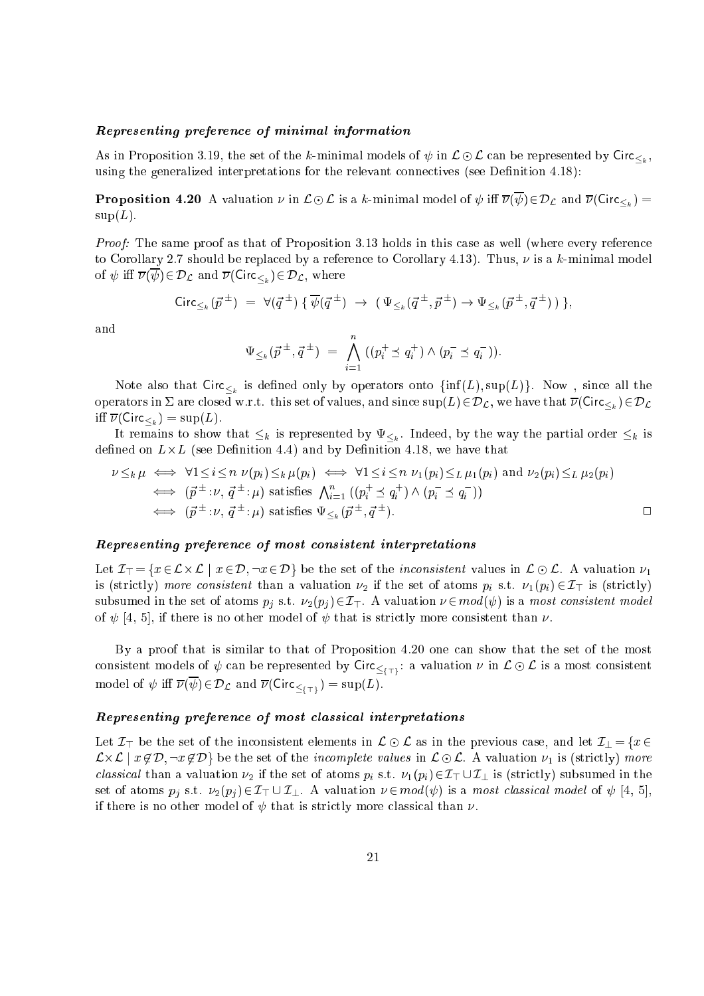#### even een en of minimal information information in the minimal information of minimal information in the state o

As in Proposition 3.19, the set of the k-minimal models of  $\tau$  in  $\infty$   $\infty$  . The set of indicated by Circ $\setminus_k$ using the generalized interpretations for the relevant connectives (see Definition 4.18):

**Proposition 4.20** A valuation  $\nu$  in  $\mathcal{L} \odot \mathcal{L}$  is a k-minimal model of  $\psi$  iff  $\overline{\nu}(\overline{\psi}) \in \mathcal{D}_{\mathcal{L}}$  and  $\overline{\nu}(\mathsf{Circ}_{\leq_{k}})$  $\text{sup}(L)$ .

Proof: The same proof as that of Proposition 3.13 holds in this case as well (where every reference to Corollary 2.7 should be replaced by a reference to Corollary 4.13). Thus,  $\nu$  is a k-minimal model  $\tau$   $\tau$  and  $\tau$  ( $\tau$ )  $\tau$  =  $\tau$   $\sim$   $\tau$  and  $\tau$  (circuits), where  $\tau$ 

$$
\operatorname{Circ}_{\leq_k}(\vec{p}^{\pm}) = \forall (\vec{q}^{\pm}) \{ \overline{\psi}(\vec{q}^{\pm}) \rightarrow (\Psi_{\leq_k}(\vec{q}^{\pm}, \vec{p}^{\pm}) \rightarrow \Psi_{\leq_k}(\vec{p}^{\pm}, \vec{q}^{\pm})) \},
$$

and

$$
\Psi_{\leq k}(\vec{p}^{\,\pm},\vec{q}^{\,\pm}) = \bigwedge_{i=1}^{n} \left( (p_i^+ \preceq q_i^+) \wedge (p_i^- \preceq q_i^-) \right).
$$

is defined on  $\lambda_k$  is defined on the  $J$  only by operators only  $(\lambda_{k-1})$  , sup(L)g. Now , since  $\lambda_{k-1}$ operators in  $\Sigma$  are closed w.r.t. this set of values, and since  $\sup(L) \in \mathcal{D}_{\mathcal{L}}$ , we have that  $\overline{\nu}(\mathsf{Circ}_{\leq k}) \in \mathcal{D}_{\mathcal{L}}$ iff  $\overline{\nu}(\mathsf{Circ}_{\leq k}) = \sup(L)$ .

 $\mathbb{I}$  remains that  $\mathbb{I}$  is represented by the particle by the particle by the particle by  $\mathbb{I}$ decrease the control of the commentation at  $\alpha$  , we have the second that  $\alpha$  is a control to the control of

$$
\nu \leq_k \mu \iff \forall 1 \leq i \leq n \ \nu(p_i) \leq_k \mu(p_i) \iff \forall 1 \leq i \leq n \ \nu_1(p_i) \leq_L \mu_1(p_i) \text{ and } \nu_2(p_i) \leq_L \mu_2(p_i) \n \iff (\vec{p}^{\pm} : \nu, \vec{q}^{\pm} : \mu) \text{ satisfies } \bigwedge_{i=1}^n ((p_i^+ \leq q_i^+) \wedge (p_i^- \leq q_i^-)) \n \iff (\vec{p}^{\pm} : \nu, \vec{q}^{\pm} : \mu) \text{ satisfies } \Psi_{\leq_k}(\vec{p}^{\pm}, \vec{q}^{\pm}).
$$

#### Representing preferen
e of most onsistent interpretations

Let I> <sup>=</sup> fx 2 L-<sup>L</sup> <sup>j</sup> <sup>x</sup> 2 D; :<sup>x</sup> 2 Dg be the set of the in
onsistent values in <sup>L</sup>  L. <sup>A</sup> valuation 1 is (strictly) more contraction common a valuation  $\alpha$  if the set of atoms  $p$   $p$  if  $p$  is (strictly))  $p$ subsumed in the set of atoms  $p_i$  s.t.  $\nu_2(p_i) \in \mathcal{I}_{\top}$ . A valuation  $\nu \in mod(\psi)$  is a most consistent model of  $\psi$  [4, 5], if there is no other model of  $\psi$  that is strictly more consistent than  $\nu$ .

By a proof that is similar to that of Proposition 4.20 one an show that the set of the most onsistent models of  $\tau$  is a value of  $\tau$  is a value  $\sigma$  in Let  $\setminus\{+\}$  . The most consistent of  $\sigma$  as a value of  $\tau$ model of  $\tau$  , and  $\tau$  (  $\tau$  )  $\tau$  ) and  $\tau$  (circumstrial (Circumstrial (Circumstrial ).

#### Representing preferen
e of most lassi
al interpretations

 $\sim$  be the set of the international commutation in A  $\sim$  A cm in the previous complex in  $\sim$   $\sim$  for 2 recommended to the complete values in the internal contracts in Law Complete strike the set of the internal process lassical than a valuation  $\mathbb{Z}$  if the set of atoms picture  $\mathbb{Z}$  [  $\mathbb{Z}$   $\mathbb{Z}$   $\mathbb{Z}$   $\mathbb{Z}$   $\mathbb{Z}$   $\mathbb{Z}$   $\mathbb{Z}$   $\mathbb{Z}$   $\mathbb{Z}$   $\mathbb{Z}$   $\mathbb{Z}$   $\mathbb{Z}$   $\mathbb{Z}$   $\mathbb{Z}$   $\mathbb{Z}$   $\mathbb{Z}$   $\math$ set of atoms pj s.t. 2(pj) 2 I . 2 I . A valuation is a model  $\{f$  ) is a model contract of fixed  $f$  is a model if there is no other model of  $\psi$  that is strictly more classical than  $\nu$ .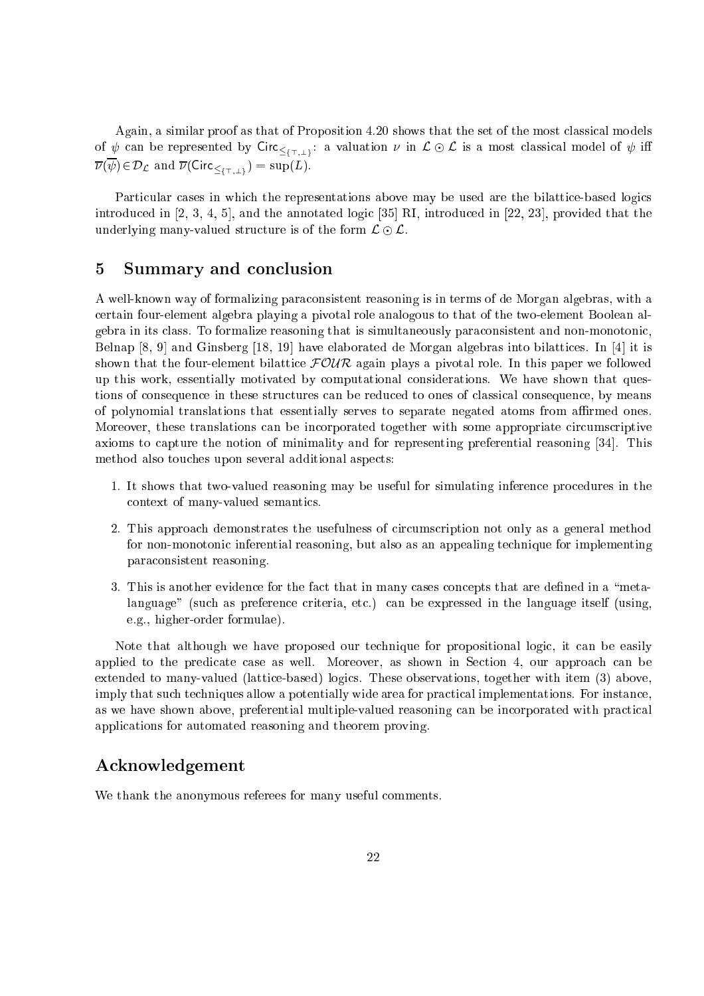Again, a similar proof as that of Proposition 4.20 shows that the set of the most classical models of  $\psi$  can be represented by Circ<sub> $\leq$ (T, i)</sub>: a valuation  $\nu$  in  $\mathcal{L} \odot \mathcal{L}$  is a most classical model of  $\psi$  iff  $\lambda$  (  $\lambda$  )  $\lambda$   $\lambda$  )  $\lambda$  (  $\lambda$  )  $\lambda$  )  $\lambda$  (  $\lambda$  )  $\lambda$  (  $\lambda$  )  $\lambda$ 

Particular cases in which the representations above may be used are the bilattice-based logics introduced in  $[2, 3, 4, 5]$ , and the annotated logic  $[35]$  RI, introduced in  $[22, 23]$ , provided that the underlying many-valued structure is of the form  $\mathcal{L} \odot \mathcal{L}$ .

#### Summary and conclusion  $\overline{5}$

A well-known way of formalizing paraconsistent reasoning is in terms of de Morgan algebras, with a ertain four-element algebra playing a pivotal role analogous to that of the two-element Boolean algebra in its lass. To formalize reasoning that is simultaneously para
onsistent and non-monotoni
, Belnap  $[8, 9]$  and Ginsberg  $[18, 19]$  have elaborated de Morgan algebras into bilattices. In  $[4]$  it is shown that the four-element bilattice  $F\mathcal{OUR}$  again plays a pivotal role. In this paper we followed up this work, essentially motivated by omputational onsiderations. We have shown that questions of consequence in these structures can be reduced to ones of classical consequence, by means of polynomial translations that essentially serves to separate negated atoms from aÆrmed ones. Moreover, these translations can be incorporated together with some appropriate circumscriptive axioms to capture the notion of minimality and for representing preferential reasoning [34]. This method also tou
hes upon several additional aspe
ts:

- 1. It shows that two-valued reasoning may be useful for simulating inferen
e pro
edures in the ontext of many-valued semanti
s.
- 2. This approa
h demonstrates the usefulness of ir
ums
ription not only as a general method for non-monotoni inferential reasoning, but also as an appealing te
hnique for implementing para
onsistent reasoning.
- 3. This is another evidence for the fact that in many cases concepts that are defined in a "metalanguage" (such as preference criteria, etc.) can be expressed in the language itself (using, e.g., higher-order formulae).

Note that although we have proposed our te
hnique for propositional logi
, it an be easily applied to the predicate case as well. Moreover, as shown in Section 4, our approach can be extended to many-valued (lattice-based) logics. These observations, together with item (3) above, imply that such techniques allow a potentially wide area for practical implementations. For instance, as we have shown above, preferential multiple-valued reasoning can be incorporated with practical appli
ations for automated reasoning and theorem proving.

# A
knowledgement

We thank the anonymous referees for many useful comments.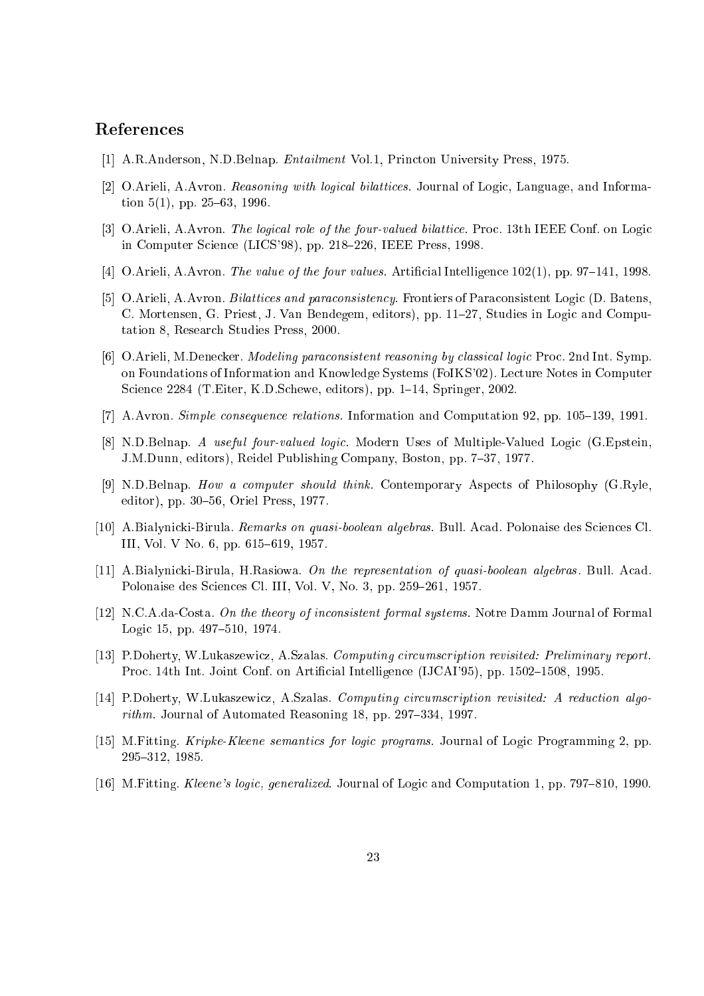# Referen
es

- [1] A.R.Anderson, N.D.Belnap. *Entailment Vol.1*, Princton University Press, 1975.
- [2] O.Arieli, A.Avron. Reasoning with logical bilattices. Journal of Logic, Language, and Information  $5(1)$ , pp. 25–63, 1996.
- [3] O.Arieli, A.Avron. The logical role of the four-valued bilattice. Proc. 13th IEEE Conf. on Logic in Computer Science (LICS'98), pp. 218-226, IEEE Press, 1998.
- [4] O.Arieli, A.Avron. The value of the four values. Artificial Intelligence  $102(1)$ , pp. 97–141, 1998.
- [5] O.Arieli, A.Avron. *Bilattices and paraconsistency*. Frontiers of Paraconsistent Logic (D. Batens. C. Mortensen, G. Priest, J. Van Bendegem, editors), pp. 11–27, Studies in Logic and Computation 8, Resear
h Studies Press, 2000.
- [6] O.Arieli, M.Denecker. *Modeling paraconsistent reasoning by classical logic* Proc. 2nd Int. Symp. on Foundations of Information and Knowledge Systems (FoIKS'02). Le
ture Notes in Computer Science 2284 (T.Eiter, K.D.Schewe, editors), pp. 1–14, Springer, 2002.
- [7] A.Avron. Simple consequence relations. Information and Computation 92, pp. 105-139, 1991.
- [8] N.D.Belnap. A useful four-valued logic. Modern Uses of Multiple-Valued Logic (G.Epstein. J.M.Dunn, editors), Reidel Publishing Company, Boston, pp. 7-37, 1977.
- [9] N.D.Belnap. How a computer should think. Contemporary Aspects of Philosophy (G.Ryle, editor), pp. 30-56, Oriel Press, 1977.
- [10] A.Bialynicki-Birula. Remarks on quasi-boolean algebras. Bull. Acad. Polonaise des Sciences Cl. III, Vol. V No. 6, pp. 615–619, 1957.
- [11] A.Bialynicki-Birula, H.Rasiowa. On the representation of quasi-boolean algebras. Bull. Acad. Polonaise des Sciences Cl. III, Vol. V, No. 3, pp. 259-261, 1957.
- [12] N.C.A.da-Costa. On the theory of inconsistent formal systems. Notre Damm Journal of Formal Logic 15, pp. 497-510, 1974.
- [13] P.Doherty, W.Lukaszewicz, A.Szalas. Computing circumscription revisited: Preliminary report. Proc. 14th Int. Joint Conf. on Artificial Intelligence (IJCAI'95), pp. 1502–1508, 1995.
- [14] P.Doherty, W.Lukaszewicz, A.Szalas. Computing circumscription revisited: A reduction algorithm. Journal of Automated Reasoning 18, pp. 297–334, 1997.
- [15] M.Fitting. *Kripke-Kleene semantics for logic programs.* Journal of Logic Programming 2, pp. 295-312, 1985.
- [16] M.Fitting. Kleene's logic, generalized. Journal of Logic and Computation 1, pp. 797–810, 1990.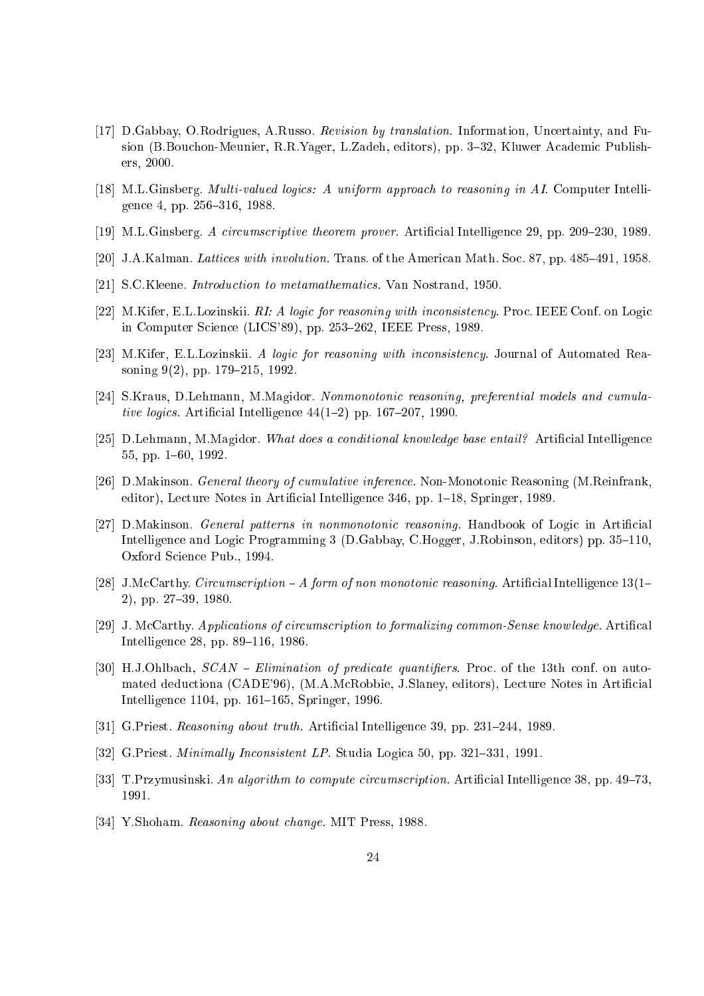- [17] D.Gabbay, O.Rodrigues, A.Russo. Revision by translation. Information, Uncertainty, and Fusion (B.Bouchon-Meunier, R.R.Yager, L.Zadeh, editors), pp. 3-32, Kluwer Academic Publishers, 2000.
- [18] M.L.Ginsberg, *Multi-valued logics: A uniform approach to reasoning in AI*. Computer Intelligence 4, pp. 256-316, 1988.
- $[19]$  M.L.Ginsberg. A circumscriptive theorem prover. Artificial Intelligence 29, pp. 209–230, 1989.
- [20] J.A.Kalman. Lattices with involution. Trans. of the American Math. Soc. 87, pp.  $485-491$ , 1958.
- [21] S.C.Kleene. *Introduction to metamathematics*. Van Nostrand, 1950.
- [22] M.Kifer, E.L.Lozinskii. RI: A logic for reasoning with inconsistency. Proc. IEEE Conf. on Logic in Computer Science (LICS'89), pp. 253–262, IEEE Press, 1989.
- [23] M.Kifer, E.L.Lozinskii. A logic for reasoning with inconsistency. Journal of Automated Reasoning  $9(2)$ , pp. 179–215, 1992.
- [24] S.Kraus, D.Lehmann, M.Magidor. Nonmonotonic reasoning, preferential models and cumulative logics. Artificial Intelligence  $44(1-2)$  pp. 167-207, 1990.
- [25] D.Lehmann, M.Magidor. What does a conditional knowledge base entail? Artificial Intelligence 55, pp. 1-60, 1992.
- [26] D.Makinson. General theory of cumulative inference. Non-Monotonic Reasoning (M.Reinfrank, editor), Lecture Notes in Artificial Intelligence 346, pp. 1–18, Springer, 1989.
- [27] D.Makinson. General patterns in nonmonotonic reasoning. Handbook of Logic in Artificial Intelligence and Logic Programming 3 (D.Gabbay, C.Hogger, J.Robinson, editors) pp. 35–110. Oxford S
ien
e Pub., 1994.
- [28] J.McCarthy. Circumscription A form of non monotonic reasoning. Artificial Intelligence  $13(1-$ 2), pp. 27-39, 1980.
- [29] J. McCarthy. Applications of circumscription to formalizing common-Sense knowledge. Artifical Intelligence 28, pp. 89-116, 1986.
- [30] H.J.Ohlbach,  $SCAN Elimination$  of predicate quantifiers. Proc. of the 13th conf. on automated deductiona (CADE'96), (M.A.McRobbie, J.Slaney, editors), Lecture Notes in Artificial Intelligence 1104, pp. 161–165, Springer, 1996.
- [31] G.Priest. Reasoning about truth. Artificial Intelligence 39, pp. 231–244, 1989.
- [32] G.Priest. *Minimally Inconsistent LP*. Studia Logica  $50$ , pp.  $321-331$ ,  $1991$ .
- [33] T.Przymusinski. An algorithm to compute circumscription. Artificial Intelligence 38, pp. 49–73. 1991.
- [34] Y.Shoham. Reasoning about change. MIT Press, 1988.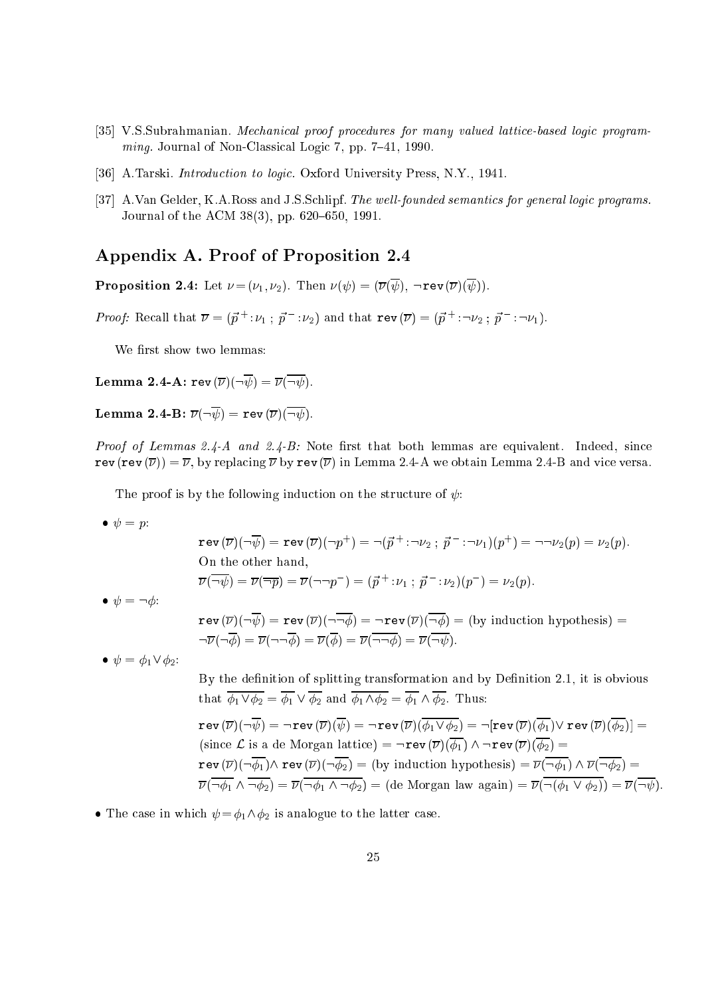- [35] V.S.Subrahmanian. Mechanical proof procedures for many valued lattice-based logic programming. Journal of Non-Classical Logic 7, pp. 7-41, 1990.
- [36] A.Tarski. *Introduction to logic*. Oxford University Press, N.Y., 1941.
- [37] A.Van Gelder, K.A.Ross and J.S.Schlipf. The well-founded semantics for general logic programs. Journal of the ACM  $38(3)$ , pp. 620–650, 1991.

# Appendix A. Proof of Proposition 2.4

**Proposition 2.4:** Let  $\nu = (\nu_1, \nu_2)$ . Then  $\nu(\psi) = (\overline{\nu}(\overline{\psi}))$ ,  $\neg \text{rev}(\overline{\nu})(\overline{\psi}))$ .

Proof: Recall that  $\nu = (p + \nu_1; p + \nu_2)$  and that  $\text{rev}(\nu) = (p + \nu_2; p + \nu_1)$ .

We first show two lemmas:

**Lemma 2.4-A:** rev  $(\overline{\nu})(\neg \overline{\psi}) = \overline{\nu}(\overline{\neg \psi}).$ 

**Lemma 2.4-B:**  $\overline{\nu}(\neg \overline{\psi}) = \text{rev}(\overline{\nu})(\overline{\neg \psi}).$ 

*Proof of Lemmas 2.4-A and 2.4-B:* Note first that both lemmas are equivalent. Indeed, since rev (rev  $(\overline{\nu})$ ) =  $\overline{\nu}$ , by replacing  $\overline{\nu}$  by rev  $(\overline{\nu})$  in Lemma 2.4-A we obtain Lemma 2.4-B and vice versa.

The proof is by the following induction on the structure of  $\psi$ :

• 
$$
\psi = p
$$
:  
  $\operatorname{rev}(\overline{\nu})(\neg$ 

$$
\operatorname{rev}(\overline{\nu})(\neg\psi) = \operatorname{rev}(\overline{\nu})(\neg p^+) = \neg(\overline{p}^+ : \neg \nu_2 ; \overline{p}^- : \neg \nu_1)(p^+) = \neg \neg \nu_2(p) = \nu_2(p).
$$
  
On the other hand,  

$$
\overline{\nu}(\overline{\neg \psi}) = \overline{\nu}(\overline{\neg p}) = \overline{\nu}(\neg \neg p^-) = (\overline{p}^+ : \nu_1 ; \overline{p}^- : \nu_2)(p^-) = \nu_2(p).
$$

$$
\bullet \ \psi = \neg \phi
$$

$$
\mathbf{rev}(\overline{\nu})(\neg \overline{\psi}) = \mathbf{rev}(\overline{\nu})(\neg \overline{\neg \phi}) = \neg \mathbf{rev}(\overline{\nu})(\overline{\neg \phi}) = (\text{by induction hypothesis}) =
$$
  

$$
\neg \overline{\nu}(\neg \overline{\phi}) = \overline{\nu}(\neg \neg \overline{\phi}) = \overline{\nu}(\overline{\phi}) = \overline{\nu}(\overline{\neg \neg \phi}) = \overline{\nu}(\overline{\neg \psi}).
$$

• 
$$
\psi = \phi_1 \vee \phi_2
$$
:

By the definition of splitting transformation and by Definition 2.1, it is obvious that  $\overline{\phi_1 \vee \phi_2} = \overline{\phi_1} \vee \overline{\phi_2}$  and  $\overline{\phi_1 \wedge \phi_2} = \overline{\phi_1} \wedge \overline{\phi_2}$ . Thus:  $\texttt{rev}(\overline{\nu})(\neg \overline{\psi}) = \neg \texttt{rev}(\overline{\nu})(\overline{\psi}) = \neg \texttt{rev}(\overline{\nu})(\overline{\phi_1 \vee \phi_2}) = \neg[\texttt{rev}(\overline{\nu})(\overline{\phi_1}) \vee \texttt{rev}(\overline{\nu})(\overline{\phi_2})] =$ (since  $\mathcal L$  is a de Morgan lattice) =  $\neg \text{rev}(\overline{\nu})(\overline{\phi_1}) \wedge \neg \text{rev}(\overline{\nu})(\overline{\phi_2}) =$ rev ()(:1)^ rev ()(:2) = (by indu
tion hypothesis) = (:1) ^ (:2) =  $\lceil 1 \rceil$   $\lceil 1 \rceil$   $\lceil 2 \rceil$   $\lceil 1 \rceil$   $\lceil 1 \rceil$   $\lceil 2 \rceil$   $\lceil 2 \rceil$   $\lceil 2 \rceil$   $\lceil 2 \rceil$   $\lceil 2 \rceil$   $\lceil 2 \rceil$   $\lceil 2 \rceil$   $\lceil 2 \rceil$   $\lceil 2 \rceil$   $\lceil 2 \rceil$ 

• The case in which  $\psi = \phi_1 \wedge \phi_2$  is analogue to the latter case.